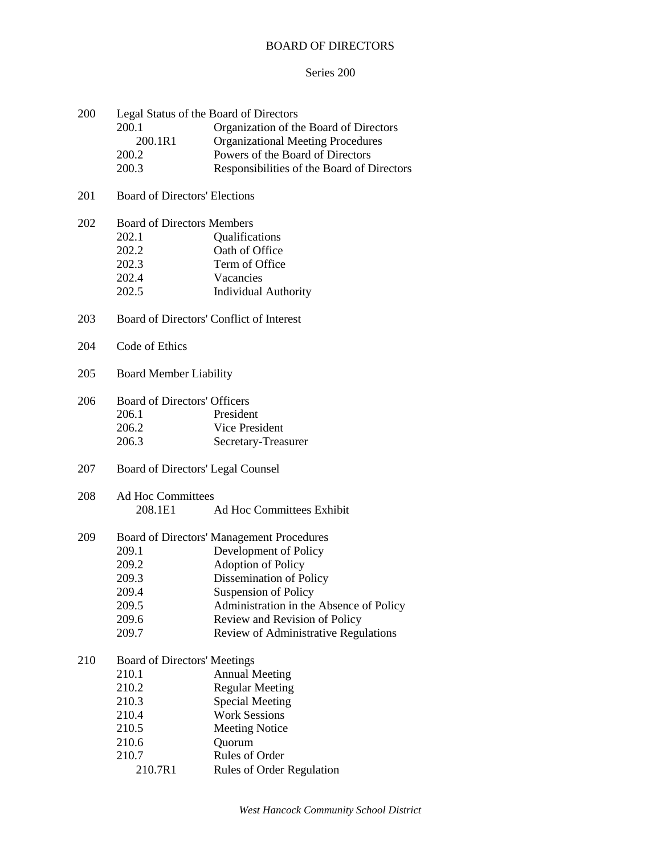# BOARD OF DIRECTORS

## Series 200

| 200 | Legal Status of the Board of Directors |                                            |  |  |
|-----|----------------------------------------|--------------------------------------------|--|--|
|     | 200.1                                  | Organization of the Board of Directors     |  |  |
|     | 200.1R1                                | <b>Organizational Meeting Procedures</b>   |  |  |
|     | 200.2                                  | Powers of the Board of Directors           |  |  |
|     | 200.3                                  | Responsibilities of the Board of Directors |  |  |
| 201 | <b>Board of Directors' Elections</b>   |                                            |  |  |
| 202 | <b>Board of Directors Members</b>      |                                            |  |  |
|     | 202.1                                  | Qualifications                             |  |  |
|     | 202.2                                  | Oath of Office                             |  |  |
|     | 202.3                                  | Term of Office                             |  |  |
|     | 202.4                                  | Vacancies                                  |  |  |
|     | 202.5                                  | <b>Individual Authority</b>                |  |  |
| 203 |                                        | Board of Directors' Conflict of Interest   |  |  |
| 204 | Code of Ethics                         |                                            |  |  |
| 205 | <b>Board Member Liability</b>          |                                            |  |  |
| 206 | <b>Board of Directors' Officers</b>    |                                            |  |  |
|     | 206.1                                  | President                                  |  |  |
|     | 206.2                                  | Vice President                             |  |  |
|     | 206.3                                  | Secretary-Treasurer                        |  |  |
| 207 |                                        | Board of Directors' Legal Counsel          |  |  |
| 208 | <b>Ad Hoc Committees</b>               |                                            |  |  |
|     | 208.1E1                                | Ad Hoc Committees Exhibit                  |  |  |
| 209 |                                        | Board of Directors' Management Procedures  |  |  |
|     | 209.1                                  | Development of Policy                      |  |  |
|     | 209.2                                  | <b>Adoption of Policy</b>                  |  |  |
|     | 209.3                                  | Dissemination of Policy                    |  |  |
|     | 209.4                                  | <b>Suspension of Policy</b>                |  |  |
|     | 209.5                                  | Administration in the Absence of Policy    |  |  |
|     | 209.6                                  | Review and Revision of Policy              |  |  |
|     | 209.7                                  | Review of Administrative Regulations       |  |  |
| 210 | <b>Board of Directors' Meetings</b>    |                                            |  |  |
|     | 210.1                                  | <b>Annual Meeting</b>                      |  |  |
|     | 210.2                                  | <b>Regular Meeting</b>                     |  |  |
|     | 210.3                                  | <b>Special Meeting</b>                     |  |  |
|     | 210.4                                  | <b>Work Sessions</b>                       |  |  |
|     | 210.5                                  | <b>Meeting Notice</b>                      |  |  |
|     | 210.6                                  | Quorum                                     |  |  |
|     | 210.7                                  | Rules of Order                             |  |  |
|     | 210.7R1                                | Rules of Order Regulation                  |  |  |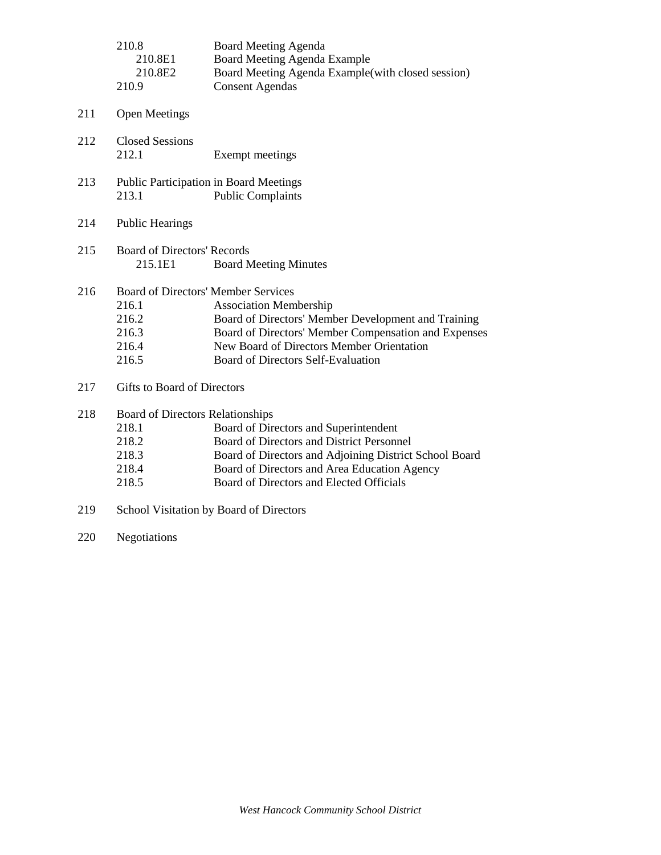|     | 210.8<br>210.8E1<br>210.8E2<br>210.9                                                    | <b>Board Meeting Agenda</b><br>Board Meeting Agenda Example<br>Board Meeting Agenda Example (with closed session)<br><b>Consent Agendas</b>                                                                                              |
|-----|-----------------------------------------------------------------------------------------|------------------------------------------------------------------------------------------------------------------------------------------------------------------------------------------------------------------------------------------|
| 211 | <b>Open Meetings</b>                                                                    |                                                                                                                                                                                                                                          |
| 212 | <b>Closed Sessions</b><br>212.1                                                         | Exempt meetings                                                                                                                                                                                                                          |
| 213 | 213.1                                                                                   | <b>Public Participation in Board Meetings</b><br><b>Public Complaints</b>                                                                                                                                                                |
| 214 | <b>Public Hearings</b>                                                                  |                                                                                                                                                                                                                                          |
| 215 | <b>Board of Directors' Records</b><br>215.1E1                                           | <b>Board Meeting Minutes</b>                                                                                                                                                                                                             |
| 216 | <b>Board of Directors' Member Services</b><br>216.1<br>216.2<br>216.3<br>216.4<br>216.5 | <b>Association Membership</b><br>Board of Directors' Member Development and Training<br>Board of Directors' Member Compensation and Expenses<br>New Board of Directors Member Orientation<br><b>Board of Directors Self-Evaluation</b>   |
| 217 | Gifts to Board of Directors                                                             |                                                                                                                                                                                                                                          |
| 218 | Board of Directors Relationships<br>218.1<br>218.2<br>218.3<br>218.4<br>218.5           | Board of Directors and Superintendent<br>Board of Directors and District Personnel<br>Board of Directors and Adjoining District School Board<br>Board of Directors and Area Education Agency<br>Board of Directors and Elected Officials |
|     |                                                                                         |                                                                                                                                                                                                                                          |

- 219 School Visitation by Board of Directors
- 220 Negotiations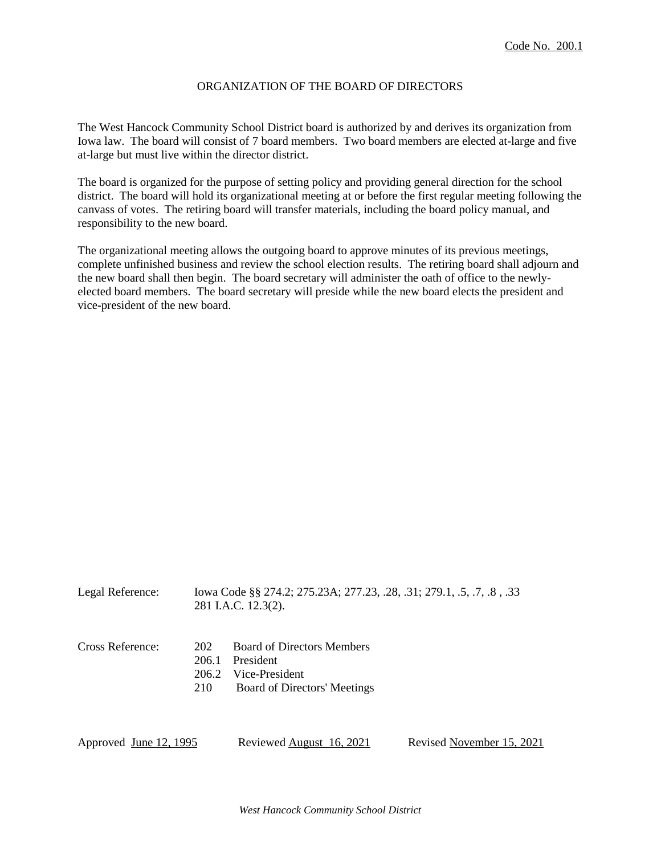## ORGANIZATION OF THE BOARD OF DIRECTORS

The West Hancock Community School District board is authorized by and derives its organization from Iowa law. The board will consist of 7 board members. Two board members are elected at-large and five at-large but must live within the director district.

The board is organized for the purpose of setting policy and providing general direction for the school district. The board will hold its organizational meeting at or before the first regular meeting following the canvass of votes. The retiring board will transfer materials, including the board policy manual, and responsibility to the new board.

The organizational meeting allows the outgoing board to approve minutes of its previous meetings, complete unfinished business and review the school election results. The retiring board shall adjourn and the new board shall then begin. The board secretary will administer the oath of office to the newlyelected board members. The board secretary will preside while the new board elects the president and vice-president of the new board.

| Legal Reference:                                 | Iowa Code §§ 274.2; 275.23A; 277.23, .28, .31; 279.1, .5, .7, .8, .33<br>281 I.A.C. 12.3(2). |                                                                                                  |                           |
|--------------------------------------------------|----------------------------------------------------------------------------------------------|--------------------------------------------------------------------------------------------------|---------------------------|
| Cross Reference:<br>202<br>206.1<br>206.2<br>210 |                                                                                              | <b>Board of Directors Members</b><br>President<br>Vice-President<br>Board of Directors' Meetings |                           |
| Approved June 12, 1995                           |                                                                                              | Reviewed August 16, 2021                                                                         | Revised November 15, 2021 |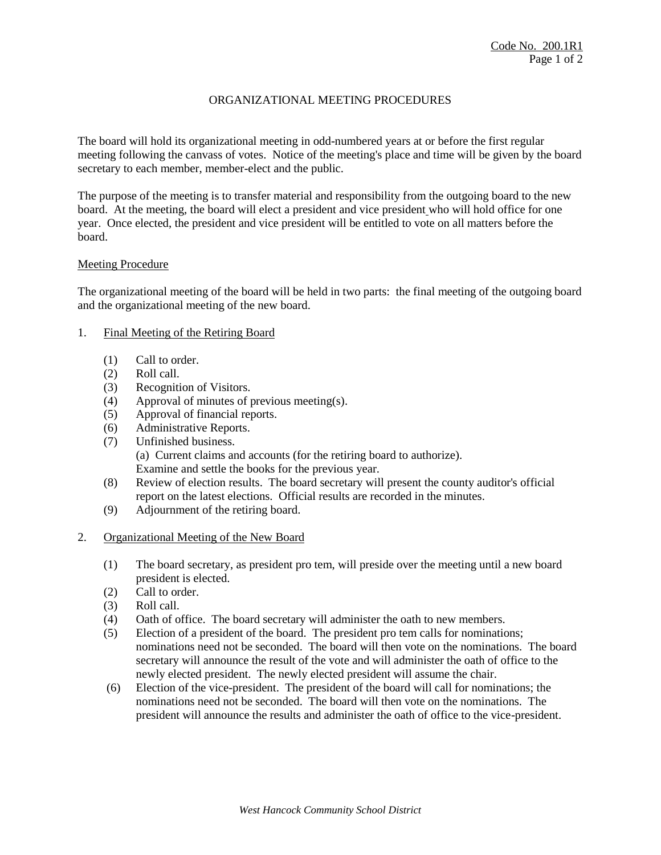# ORGANIZATIONAL MEETING PROCEDURES

The board will hold its organizational meeting in odd-numbered years at or before the first regular meeting following the canvass of votes. Notice of the meeting's place and time will be given by the board secretary to each member, member-elect and the public.

The purpose of the meeting is to transfer material and responsibility from the outgoing board to the new board. At the meeting, the board will elect a president and vice president who will hold office for one year. Once elected, the president and vice president will be entitled to vote on all matters before the board.

### Meeting Procedure

The organizational meeting of the board will be held in two parts: the final meeting of the outgoing board and the organizational meeting of the new board.

- 1. Final Meeting of the Retiring Board
	- (1) Call to order.
	- (2) Roll call.
	- (3) Recognition of Visitors.
	- (4) Approval of minutes of previous meeting(s).
	- (5) Approval of financial reports.
	- (6) Administrative Reports.
	- (7) Unfinished business. (a) Current claims and accounts (for the retiring board to authorize). Examine and settle the books for the previous year.
	- (8) Review of election results. The board secretary will present the county auditor's official report on the latest elections. Official results are recorded in the minutes.
	- (9) Adjournment of the retiring board.
- 2. Organizational Meeting of the New Board
	- (1) The board secretary, as president pro tem, will preside over the meeting until a new board president is elected.
	- (2) Call to order.
	- (3) Roll call.
	- (4) Oath of office. The board secretary will administer the oath to new members.
	- (5) Election of a president of the board. The president pro tem calls for nominations; nominations need not be seconded. The board will then vote on the nominations. The board secretary will announce the result of the vote and will administer the oath of office to the newly elected president. The newly elected president will assume the chair.
	- (6) Election of the vice-president. The president of the board will call for nominations; the nominations need not be seconded. The board will then vote on the nominations. The president will announce the results and administer the oath of office to the vice-president.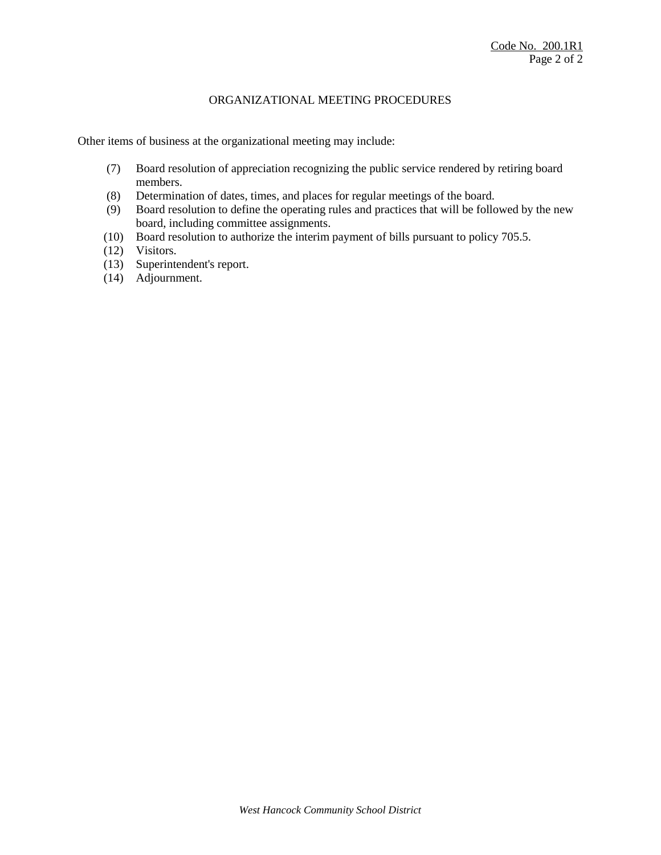## ORGANIZATIONAL MEETING PROCEDURES

Other items of business at the organizational meeting may include:

- (7) Board resolution of appreciation recognizing the public service rendered by retiring board members.
- (8) Determination of dates, times, and places for regular meetings of the board.
- (9) Board resolution to define the operating rules and practices that will be followed by the new board, including committee assignments.
- (10) Board resolution to authorize the interim payment of bills pursuant to policy 705.5.
- (12) Visitors.
- (13) Superintendent's report.
- (14) Adjournment.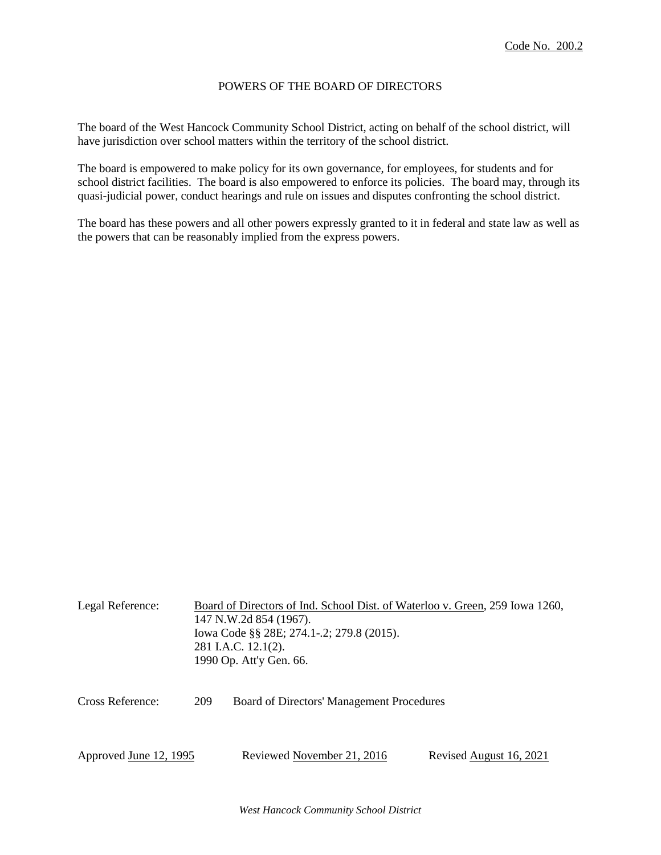## POWERS OF THE BOARD OF DIRECTORS

The board of the West Hancock Community School District, acting on behalf of the school district, will have jurisdiction over school matters within the territory of the school district.

The board is empowered to make policy for its own governance, for employees, for students and for school district facilities. The board is also empowered to enforce its policies. The board may, through its quasi-judicial power, conduct hearings and rule on issues and disputes confronting the school district.

The board has these powers and all other powers expressly granted to it in federal and state law as well as the powers that can be reasonably implied from the express powers.

| Legal Reference:<br>281 I.A.C. 12.1(2). |     | Board of Directors of Ind. School Dist. of Waterloo v. Green, 259 Iowa 1260,<br>147 N.W.2d 854 (1967).<br>Iowa Code §§ 28E; 274.1-.2; 279.8 (2015).<br>1990 Op. Att'y Gen. 66. |                         |
|-----------------------------------------|-----|--------------------------------------------------------------------------------------------------------------------------------------------------------------------------------|-------------------------|
| Cross Reference:                        | 209 | Board of Directors' Management Procedures                                                                                                                                      |                         |
| Approved June 12, 1995                  |     | Reviewed November 21, 2016                                                                                                                                                     | Revised August 16, 2021 |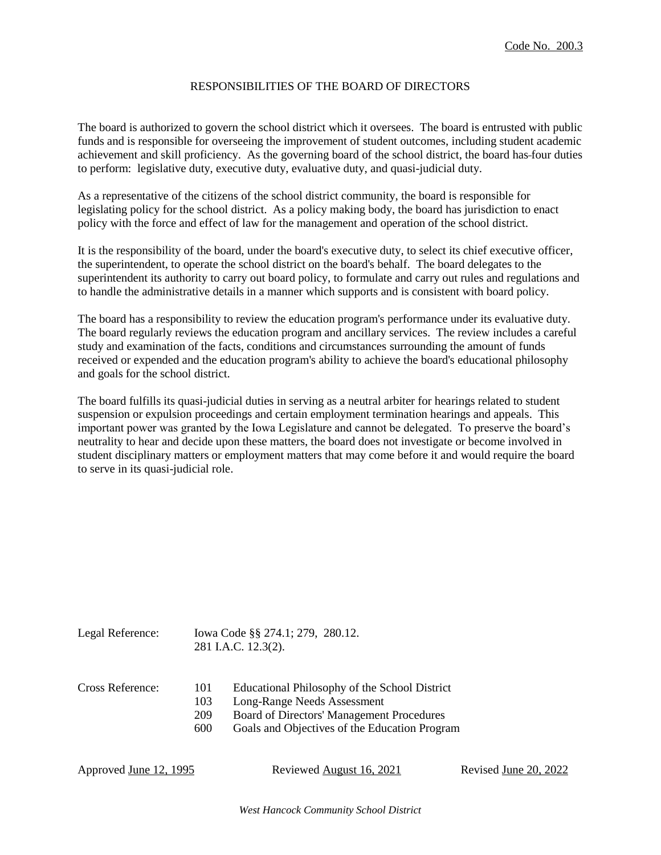## RESPONSIBILITIES OF THE BOARD OF DIRECTORS

The board is authorized to govern the school district which it oversees. The board is entrusted with public funds and is responsible for overseeing the improvement of student outcomes, including student academic achievement and skill proficiency. As the governing board of the school district, the board has four duties to perform: legislative duty, executive duty, evaluative duty, and quasi-judicial duty.

As a representative of the citizens of the school district community, the board is responsible for legislating policy for the school district. As a policy making body, the board has jurisdiction to enact policy with the force and effect of law for the management and operation of the school district.

It is the responsibility of the board, under the board's executive duty, to select its chief executive officer, the superintendent, to operate the school district on the board's behalf. The board delegates to the superintendent its authority to carry out board policy, to formulate and carry out rules and regulations and to handle the administrative details in a manner which supports and is consistent with board policy.

The board has a responsibility to review the education program's performance under its evaluative duty. The board regularly reviews the education program and ancillary services. The review includes a careful study and examination of the facts, conditions and circumstances surrounding the amount of funds received or expended and the education program's ability to achieve the board's educational philosophy and goals for the school district.

The board fulfills its quasi-judicial duties in serving as a neutral arbiter for hearings related to student suspension or expulsion proceedings and certain employment termination hearings and appeals. This important power was granted by the Iowa Legislature and cannot be delegated. To preserve the board's neutrality to hear and decide upon these matters, the board does not investigate or become involved in student disciplinary matters or employment matters that may come before it and would require the board to serve in its quasi-judicial role.

| Legal Reference: |     | Iowa Code §§ 274.1; 279, 280.12.<br>281 I.A.C. 12.3(2). |  |  |
|------------------|-----|---------------------------------------------------------|--|--|
| Cross Reference: | 101 | Educational Philosophy of the School District           |  |  |
|                  | 103 | Long-Range Needs Assessment                             |  |  |
|                  | 209 | Board of Directors' Management Procedures               |  |  |

600 Goals and Objectives of the Education Program

Approved June 12, 1995 Reviewed August 16, 2021 Revised June 20, 2022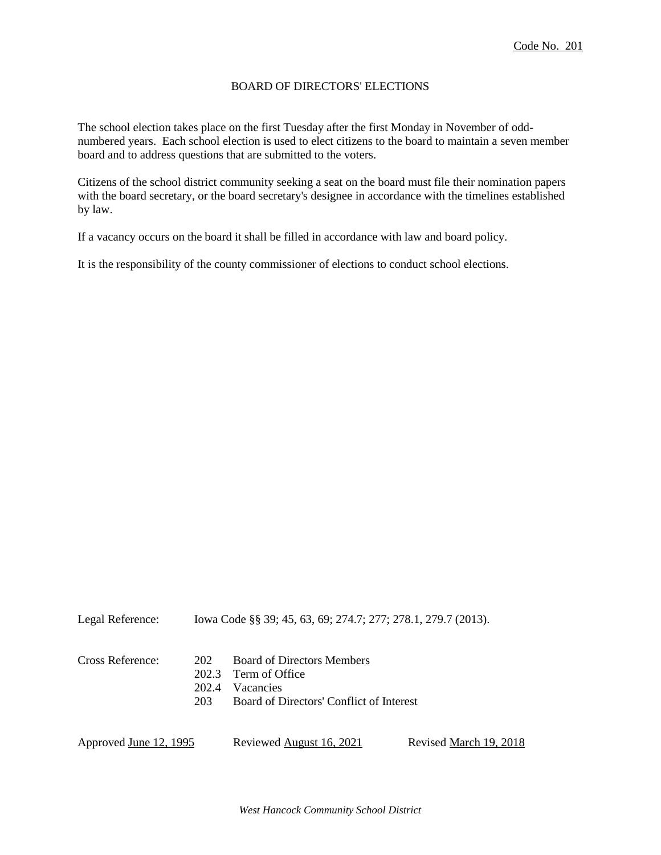## BOARD OF DIRECTORS' ELECTIONS

The school election takes place on the first Tuesday after the first Monday in November of oddnumbered years. Each school election is used to elect citizens to the board to maintain a seven member board and to address questions that are submitted to the voters.

Citizens of the school district community seeking a seat on the board must file their nomination papers with the board secretary, or the board secretary's designee in accordance with the timelines established by law.

If a vacancy occurs on the board it shall be filled in accordance with law and board policy.

It is the responsibility of the county commissioner of elections to conduct school elections.

| Legal Reference:       | Iowa Code §§ 39; 45, 63, 69; 274.7; 277; 278.1, 279.7 (2013). |                                                                                                              |                        |  |
|------------------------|---------------------------------------------------------------|--------------------------------------------------------------------------------------------------------------|------------------------|--|
| Cross Reference:       | 202<br>202.3<br>202.4<br>203                                  | <b>Board of Directors Members</b><br>Term of Office<br>Vacancies<br>Board of Directors' Conflict of Interest |                        |  |
| Approved June 12, 1995 |                                                               | Reviewed August 16, 2021                                                                                     | Revised March 19, 2018 |  |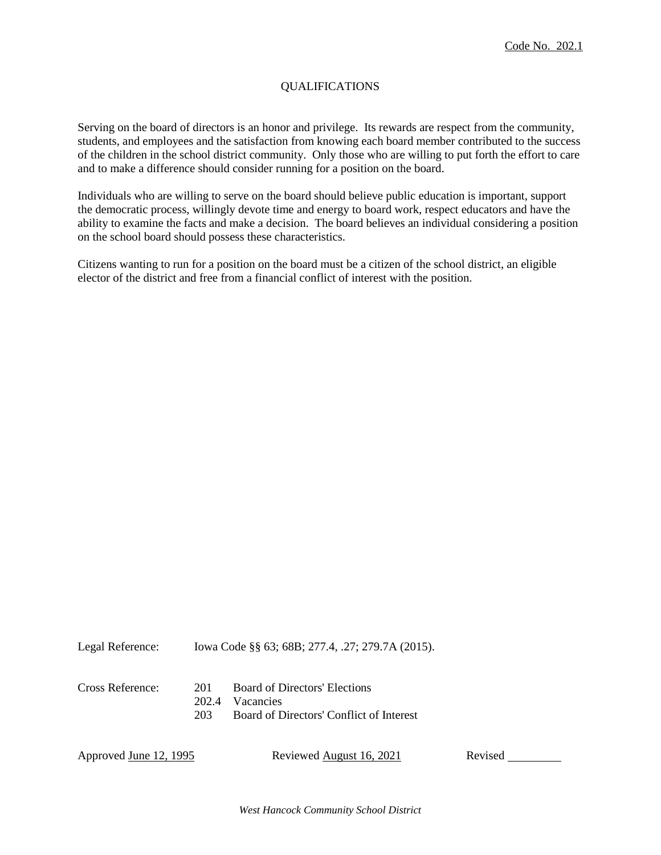# QUALIFICATIONS

Serving on the board of directors is an honor and privilege. Its rewards are respect from the community, students, and employees and the satisfaction from knowing each board member contributed to the success of the children in the school district community. Only those who are willing to put forth the effort to care and to make a difference should consider running for a position on the board.

Individuals who are willing to serve on the board should believe public education is important, support the democratic process, willingly devote time and energy to board work, respect educators and have the ability to examine the facts and make a decision. The board believes an individual considering a position on the school board should possess these characteristics.

Citizens wanting to run for a position on the board must be a citizen of the school district, an eligible elector of the district and free from a financial conflict of interest with the position.

| Legal Reference: | Iowa Code §§ 63; 68B; 277.4, .27; 279.7A (2015). |                                                                                        |
|------------------|--------------------------------------------------|----------------------------------------------------------------------------------------|
| Cross Reference: | 201<br>202.4<br>203                              | Board of Directors' Elections<br>Vacancies<br>Board of Directors' Conflict of Interest |

| Approved <u>June 12, 1995</u> | Reviewed August 16, 2021 | Revised |
|-------------------------------|--------------------------|---------|
|                               |                          |         |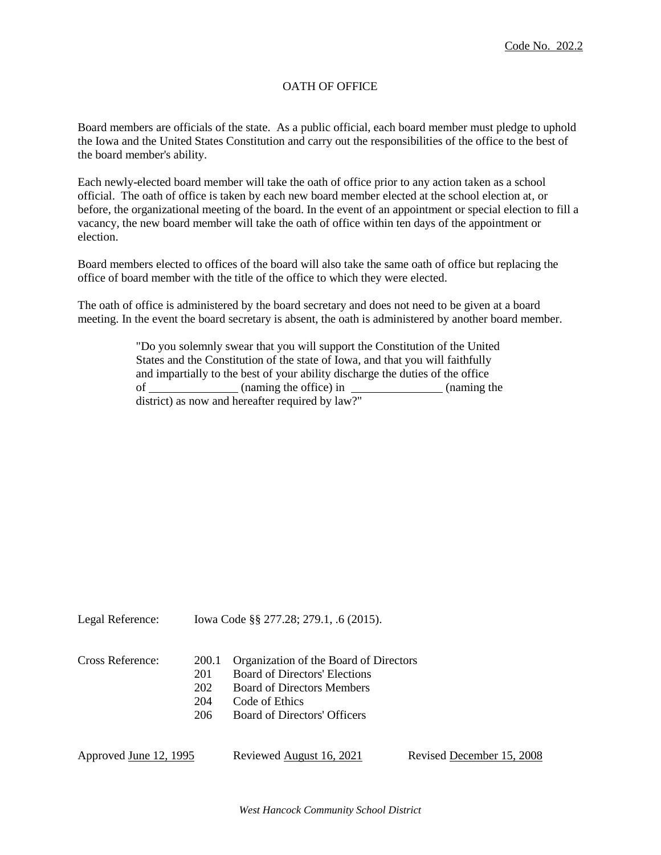# OATH OF OFFICE

Board members are officials of the state. As a public official, each board member must pledge to uphold the Iowa and the United States Constitution and carry out the responsibilities of the office to the best of the board member's ability.

Each newly-elected board member will take the oath of office prior to any action taken as a school official. The oath of office is taken by each new board member elected at the school election at, or before, the organizational meeting of the board. In the event of an appointment or special election to fill a vacancy, the new board member will take the oath of office within ten days of the appointment or election.

Board members elected to offices of the board will also take the same oath of office but replacing the office of board member with the title of the office to which they were elected.

The oath of office is administered by the board secretary and does not need to be given at a board meeting. In the event the board secretary is absent, the oath is administered by another board member.

> "Do you solemnly swear that you will support the Constitution of the United States and the Constitution of the state of Iowa, and that you will faithfully and impartially to the best of your ability discharge the duties of the office of (naming the office) in (naming the district) as now and hereafter required by law?"

| Legal Reference: | lowa Code §§ 277.28; 279.1, .6 (2015). |  |  |
|------------------|----------------------------------------|--|--|
|                  |                                        |  |  |

| Cross Reference: |     | 200.1 Organization of the Board of Directors |
|------------------|-----|----------------------------------------------|
|                  | 201 | <b>Board of Directors' Elections</b>         |
|                  | 202 | <b>Board of Directors Members</b>            |
|                  | 204 | Code of Ethics                               |
|                  | 206 | Board of Directors' Officers                 |
|                  |     |                                              |
|                  |     |                                              |

Approved June 12, 1995 Reviewed August 16, 2021 Revised December 15, 2008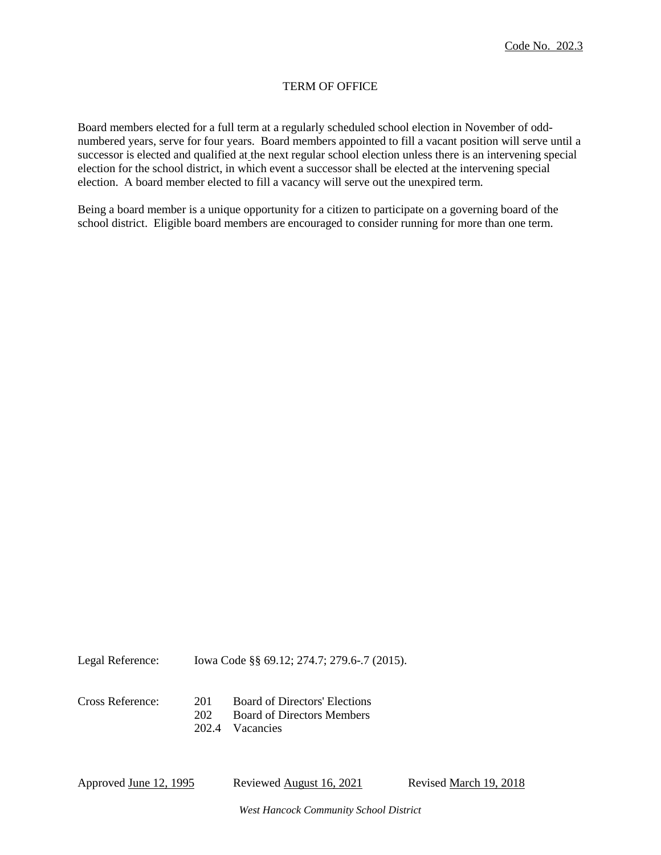# TERM OF OFFICE

Board members elected for a full term at a regularly scheduled school election in November of oddnumbered years, serve for four years. Board members appointed to fill a vacant position will serve until a successor is elected and qualified at the next regular school election unless there is an intervening special election for the school district, in which event a successor shall be elected at the intervening special election. A board member elected to fill a vacancy will serve out the unexpired term.

Being a board member is a unique opportunity for a citizen to participate on a governing board of the school district. Eligible board members are encouraged to consider running for more than one term.

Legal Reference: Iowa Code §§ 69.12; 274.7; 279.6-.7 (2015).

| Cross Reference: | 201                  | Board of Directors' Elections  |
|------------------|----------------------|--------------------------------|
|                  |                      | 202 Board of Directors Members |
|                  | $\sim$ $\sim$ $\sim$ |                                |

202.4 Vacancies

Approved June 12, 1995 Reviewed August 16, 2021 Revised March 19, 2018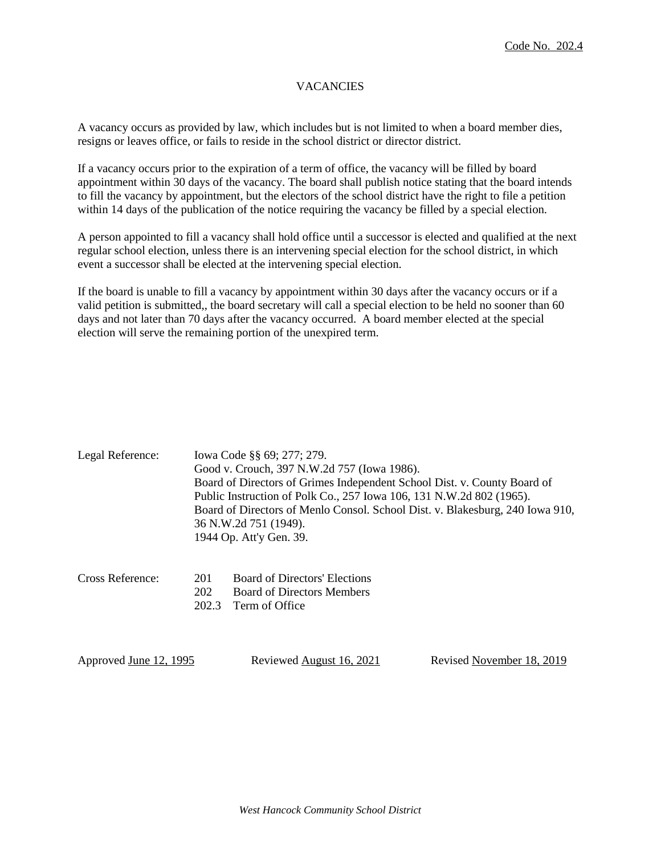# **VACANCIES**

A vacancy occurs as provided by law, which includes but is not limited to when a board member dies, resigns or leaves office, or fails to reside in the school district or director district.

If a vacancy occurs prior to the expiration of a term of office, the vacancy will be filled by board appointment within 30 days of the vacancy. The board shall publish notice stating that the board intends to fill the vacancy by appointment, but the electors of the school district have the right to file a petition within 14 days of the publication of the notice requiring the vacancy be filled by a special election.

A person appointed to fill a vacancy shall hold office until a successor is elected and qualified at the next regular school election, unless there is an intervening special election for the school district, in which event a successor shall be elected at the intervening special election.

If the board is unable to fill a vacancy by appointment within 30 days after the vacancy occurs or if a valid petition is submitted,, the board secretary will call a special election to be held no sooner than 60 days and not later than 70 days after the vacancy occurred. A board member elected at the special election will serve the remaining portion of the unexpired term.

| Legal Reference: | Iowa Code §§ 69; 277; 279.                                                    |
|------------------|-------------------------------------------------------------------------------|
|                  | Good v. Crouch, 397 N.W.2d 757 (Iowa 1986).                                   |
|                  | Board of Directors of Grimes Independent School Dist. v. County Board of      |
|                  | Public Instruction of Polk Co., 257 Iowa 106, 131 N.W.2d 802 (1965).          |
|                  | Board of Directors of Menlo Consol. School Dist. v. Blakesburg, 240 Iowa 910, |
|                  | 36 N.W.2d 751 (1949).                                                         |
|                  | 1944 Op. Att'y Gen. 39.                                                       |
|                  |                                                                               |

| Cross Reference: | 201 | <b>Board of Directors' Elections</b> |
|------------------|-----|--------------------------------------|
|                  | 202 | <b>Board of Directors Members</b>    |
|                  |     | 202.3 Term of Office                 |

| Approved <u>June 12, 1995</u> | Reviewed August 16, 2021 | Revised November 18, 2019 |
|-------------------------------|--------------------------|---------------------------|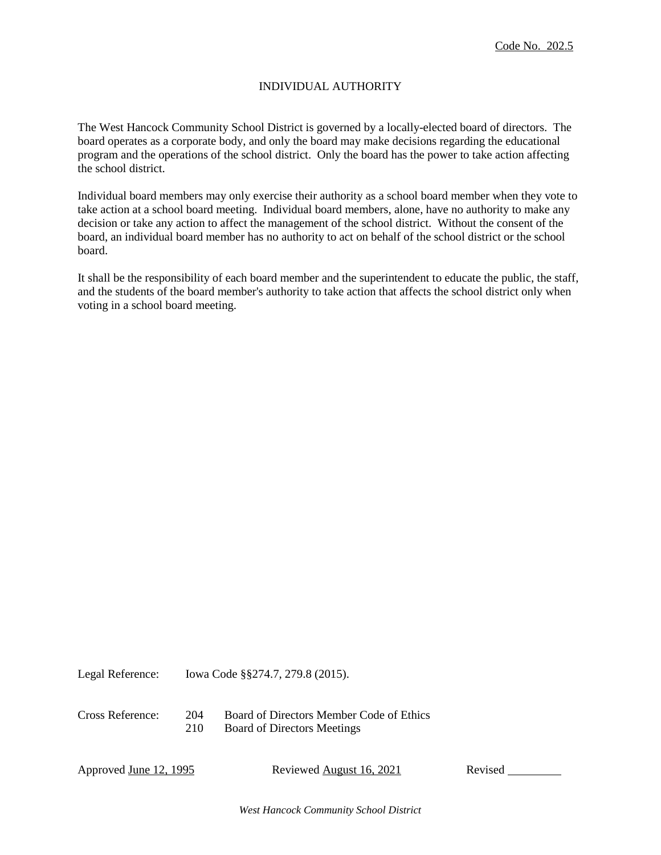# INDIVIDUAL AUTHORITY

The West Hancock Community School District is governed by a locally-elected board of directors. The board operates as a corporate body, and only the board may make decisions regarding the educational program and the operations of the school district. Only the board has the power to take action affecting the school district.

Individual board members may only exercise their authority as a school board member when they vote to take action at a school board meeting. Individual board members, alone, have no authority to make any decision or take any action to affect the management of the school district. Without the consent of the board, an individual board member has no authority to act on behalf of the school district or the school board.

It shall be the responsibility of each board member and the superintendent to educate the public, the staff, and the students of the board member's authority to take action that affects the school district only when voting in a school board meeting.

Legal Reference: Iowa Code §§274.7, 279.8 (2015).

Cross Reference: 204 Board of Directors Member Code of Ethics 210 Board of Directors Meetings

Approved June 12, 1995 Reviewed August 16, 2021 Revised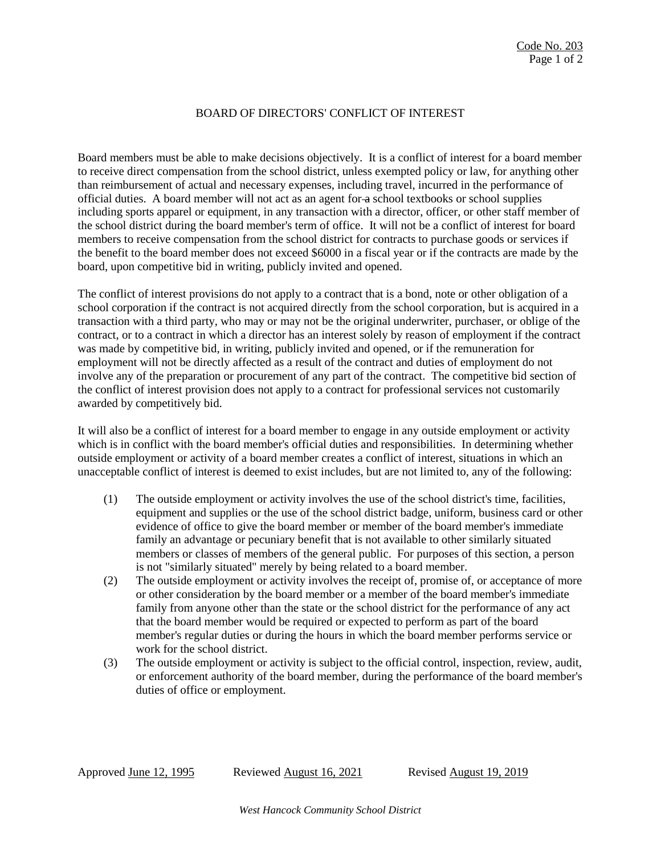## BOARD OF DIRECTORS' CONFLICT OF INTEREST

Board members must be able to make decisions objectively. It is a conflict of interest for a board member to receive direct compensation from the school district, unless exempted policy or law, for anything other than reimbursement of actual and necessary expenses, including travel, incurred in the performance of official duties. A board member will not act as an agent for a school textbooks or school supplies including sports apparel or equipment, in any transaction with a director, officer, or other staff member of the school district during the board member's term of office. It will not be a conflict of interest for board members to receive compensation from the school district for contracts to purchase goods or services if the benefit to the board member does not exceed \$6000 in a fiscal year or if the contracts are made by the board, upon competitive bid in writing, publicly invited and opened.

The conflict of interest provisions do not apply to a contract that is a bond, note or other obligation of a school corporation if the contract is not acquired directly from the school corporation, but is acquired in a transaction with a third party, who may or may not be the original underwriter, purchaser, or oblige of the contract, or to a contract in which a director has an interest solely by reason of employment if the contract was made by competitive bid, in writing, publicly invited and opened, or if the remuneration for employment will not be directly affected as a result of the contract and duties of employment do not involve any of the preparation or procurement of any part of the contract. The competitive bid section of the conflict of interest provision does not apply to a contract for professional services not customarily awarded by competitively bid.

It will also be a conflict of interest for a board member to engage in any outside employment or activity which is in conflict with the board member's official duties and responsibilities. In determining whether outside employment or activity of a board member creates a conflict of interest, situations in which an unacceptable conflict of interest is deemed to exist includes, but are not limited to, any of the following:

- (1) The outside employment or activity involves the use of the school district's time, facilities, equipment and supplies or the use of the school district badge, uniform, business card or other evidence of office to give the board member or member of the board member's immediate family an advantage or pecuniary benefit that is not available to other similarly situated members or classes of members of the general public. For purposes of this section, a person is not "similarly situated" merely by being related to a board member.
- (2) The outside employment or activity involves the receipt of, promise of, or acceptance of more or other consideration by the board member or a member of the board member's immediate family from anyone other than the state or the school district for the performance of any act that the board member would be required or expected to perform as part of the board member's regular duties or during the hours in which the board member performs service or work for the school district.
- (3) The outside employment or activity is subject to the official control, inspection, review, audit, or enforcement authority of the board member, during the performance of the board member's duties of office or employment.

Approved June 12, 1995 Reviewed August 16, 2021 Revised August 19, 2019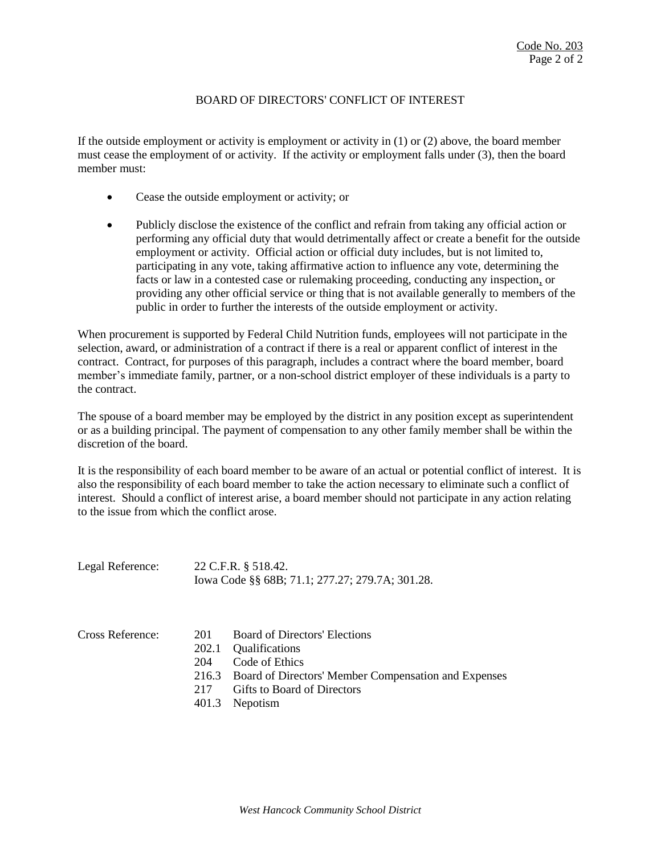## BOARD OF DIRECTORS' CONFLICT OF INTEREST

If the outside employment or activity is employment or activity in (1) or (2) above, the board member must cease the employment of or activity. If the activity or employment falls under (3), then the board member must:

- Cease the outside employment or activity; or
- Publicly disclose the existence of the conflict and refrain from taking any official action or performing any official duty that would detrimentally affect or create a benefit for the outside employment or activity. Official action or official duty includes, but is not limited to, participating in any vote, taking affirmative action to influence any vote, determining the facts or law in a contested case or rulemaking proceeding, conducting any inspection, or providing any other official service or thing that is not available generally to members of the public in order to further the interests of the outside employment or activity.

When procurement is supported by Federal Child Nutrition funds, employees will not participate in the selection, award, or administration of a contract if there is a real or apparent conflict of interest in the contract. Contract, for purposes of this paragraph, includes a contract where the board member, board member's immediate family, partner, or a non-school district employer of these individuals is a party to the contract.

The spouse of a board member may be employed by the district in any position except as superintendent or as a building principal. The payment of compensation to any other family member shall be within the discretion of the board.

It is the responsibility of each board member to be aware of an actual or potential conflict of interest. It is also the responsibility of each board member to take the action necessary to eliminate such a conflict of interest. Should a conflict of interest arise, a board member should not participate in any action relating to the issue from which the conflict arose.

| Legal Reference: |              | 22 C.F.R. § 518.42.<br>Iowa Code §§ 68B; 71.1; 277.27; 279.7A; 301.28. |
|------------------|--------------|------------------------------------------------------------------------|
| Cross Reference: | 201<br>202.1 | Board of Directors' Elections<br>Qualifications                        |
|                  | 204<br>216.3 | Code of Ethics<br>Board of Directors' Member Compensation and Expenses |
|                  |              |                                                                        |
|                  | 217          | Gifts to Board of Directors                                            |
|                  | 401.3        | Nepotism                                                               |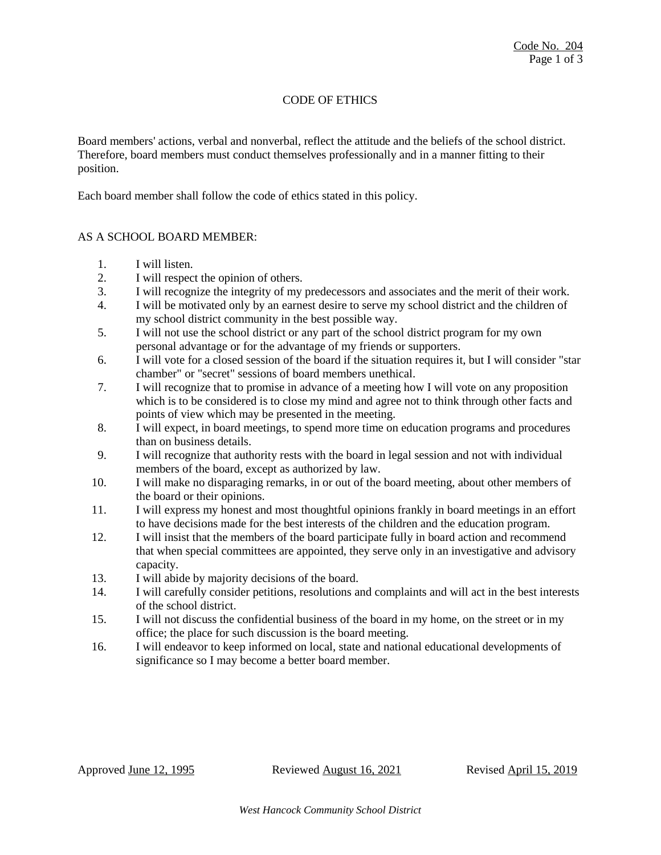# CODE OF ETHICS

Board members' actions, verbal and nonverbal, reflect the attitude and the beliefs of the school district. Therefore, board members must conduct themselves professionally and in a manner fitting to their position.

Each board member shall follow the code of ethics stated in this policy.

### AS A SCHOOL BOARD MEMBER:

- 1. I will listen.
- 2. I will respect the opinion of others.
- 3. I will recognize the integrity of my predecessors and associates and the merit of their work.
- 4. I will be motivated only by an earnest desire to serve my school district and the children of my school district community in the best possible way.
- 5. I will not use the school district or any part of the school district program for my own personal advantage or for the advantage of my friends or supporters.
- 6. I will vote for a closed session of the board if the situation requires it, but I will consider "star chamber" or "secret" sessions of board members unethical.
- 7. I will recognize that to promise in advance of a meeting how I will vote on any proposition which is to be considered is to close my mind and agree not to think through other facts and points of view which may be presented in the meeting.
- 8. I will expect, in board meetings, to spend more time on education programs and procedures than on business details.
- 9. I will recognize that authority rests with the board in legal session and not with individual members of the board, except as authorized by law.
- 10. I will make no disparaging remarks, in or out of the board meeting, about other members of the board or their opinions.
- 11. I will express my honest and most thoughtful opinions frankly in board meetings in an effort to have decisions made for the best interests of the children and the education program.
- 12. I will insist that the members of the board participate fully in board action and recommend that when special committees are appointed, they serve only in an investigative and advisory capacity.
- 13. I will abide by majority decisions of the board.
- 14. I will carefully consider petitions, resolutions and complaints and will act in the best interests of the school district.
- 15. I will not discuss the confidential business of the board in my home, on the street or in my office; the place for such discussion is the board meeting.
- 16. I will endeavor to keep informed on local, state and national educational developments of significance so I may become a better board member.

Approved June 12, 1995 Reviewed August 16, 2021 Revised April 15, 2019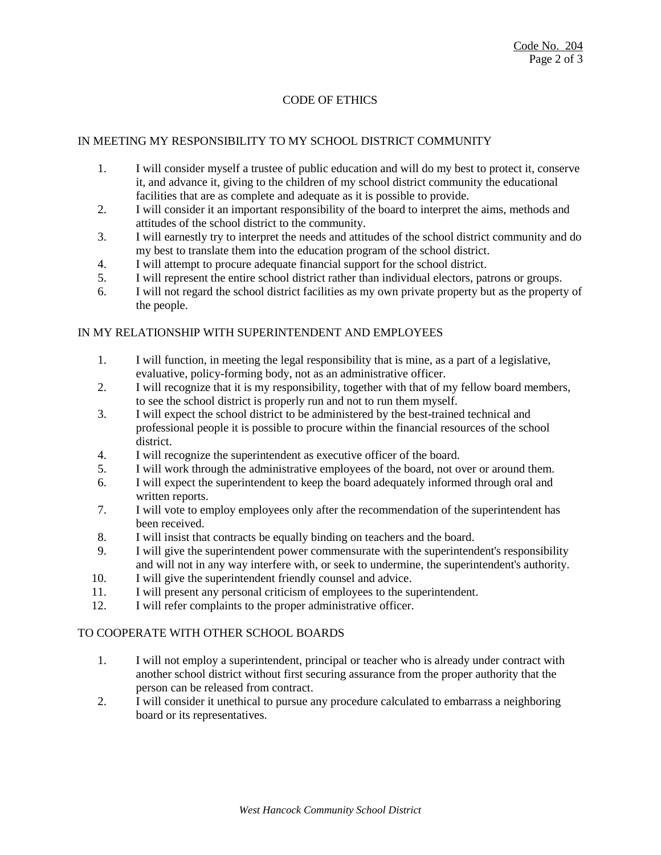# CODE OF ETHICS

### IN MEETING MY RESPONSIBILITY TO MY SCHOOL DISTRICT COMMUNITY

- 1. I will consider myself a trustee of public education and will do my best to protect it, conserve it, and advance it, giving to the children of my school district community the educational facilities that are as complete and adequate as it is possible to provide.
- 2. I will consider it an important responsibility of the board to interpret the aims, methods and attitudes of the school district to the community.
- 3. I will earnestly try to interpret the needs and attitudes of the school district community and do my best to translate them into the education program of the school district.
- 4. I will attempt to procure adequate financial support for the school district.
- 5. I will represent the entire school district rather than individual electors, patrons or groups.
- 6. I will not regard the school district facilities as my own private property but as the property of the people.

### IN MY RELATIONSHIP WITH SUPERINTENDENT AND EMPLOYEES

- 1. I will function, in meeting the legal responsibility that is mine, as a part of a legislative, evaluative, policy-forming body, not as an administrative officer.
- 2. I will recognize that it is my responsibility, together with that of my fellow board members, to see the school district is properly run and not to run them myself.
- 3. I will expect the school district to be administered by the best-trained technical and professional people it is possible to procure within the financial resources of the school district.
- 4. I will recognize the superintendent as executive officer of the board.
- 5. I will work through the administrative employees of the board, not over or around them.
- 6. I will expect the superintendent to keep the board adequately informed through oral and written reports.
- 7. I will vote to employ employees only after the recommendation of the superintendent has been received.
- 8. I will insist that contracts be equally binding on teachers and the board.
- 9. I will give the superintendent power commensurate with the superintendent's responsibility and will not in any way interfere with, or seek to undermine, the superintendent's authority.
- 10. I will give the superintendent friendly counsel and advice.
- 11. I will present any personal criticism of employees to the superintendent.
- 12. I will refer complaints to the proper administrative officer.

#### TO COOPERATE WITH OTHER SCHOOL BOARDS

- 1. I will not employ a superintendent, principal or teacher who is already under contract with another school district without first securing assurance from the proper authority that the person can be released from contract.
- 2. I will consider it unethical to pursue any procedure calculated to embarrass a neighboring board or its representatives.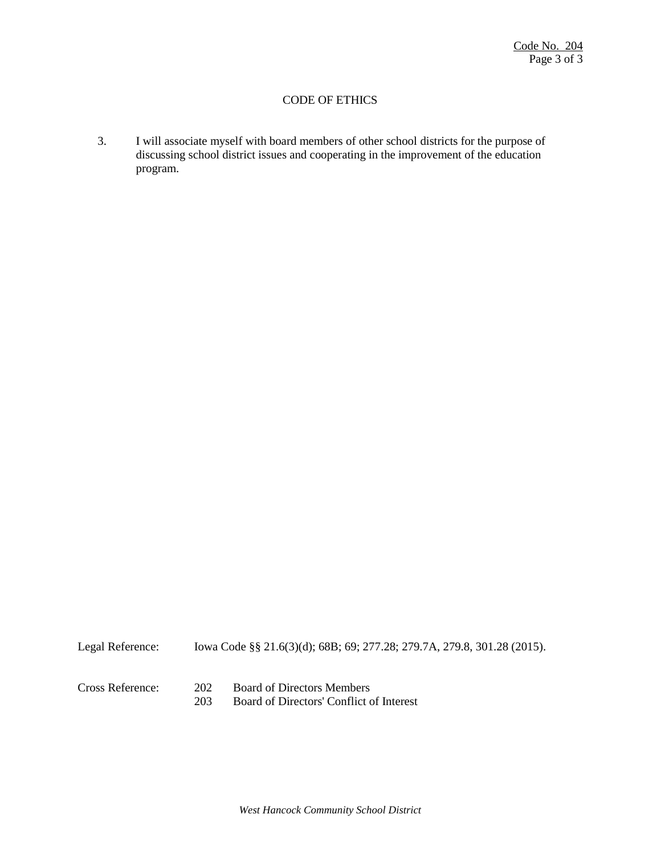## CODE OF ETHICS

3. I will associate myself with board members of other school districts for the purpose of discussing school district issues and cooperating in the improvement of the education program.

| Legal Reference: |            | lowa Code §§ 21.6(3)(d); 68B; 69; 277.28; 279.7A, 279.8, 301.28 (2015).       |
|------------------|------------|-------------------------------------------------------------------------------|
| Cross Reference: | 202<br>203 | <b>Board of Directors Members</b><br>Board of Directors' Conflict of Interest |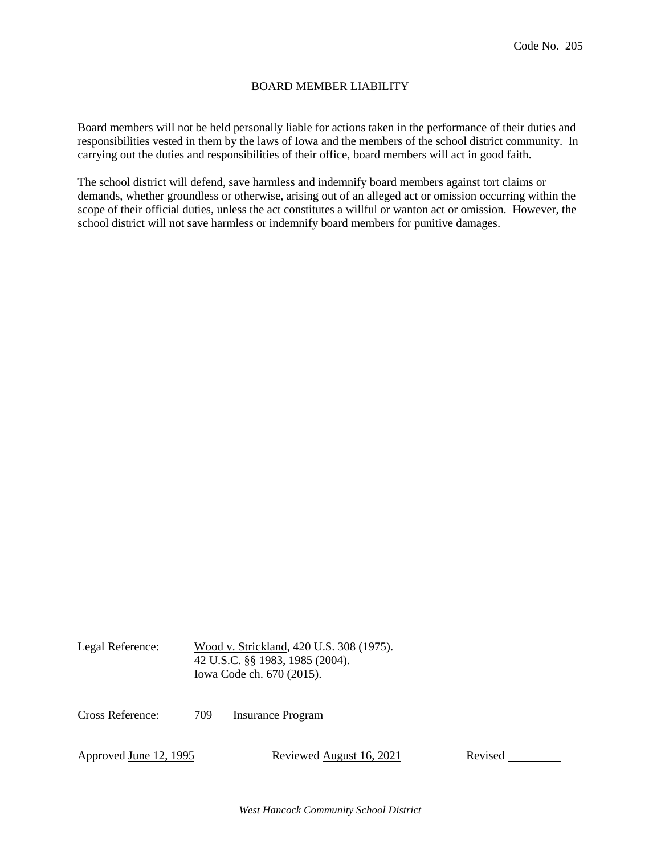## BOARD MEMBER LIABILITY

Board members will not be held personally liable for actions taken in the performance of their duties and responsibilities vested in them by the laws of Iowa and the members of the school district community. In carrying out the duties and responsibilities of their office, board members will act in good faith.

The school district will defend, save harmless and indemnify board members against tort claims or demands, whether groundless or otherwise, arising out of an alleged act or omission occurring within the scope of their official duties, unless the act constitutes a willful or wanton act or omission. However, the school district will not save harmless or indemnify board members for punitive damages.

Legal Reference: Wood v. Strickland, 420 U.S. 308 (1975). 42 U.S.C. §§ 1983, 1985 (2004). Iowa Code ch. 670 (2015).

Cross Reference: 709 Insurance Program

Approved June 12, 1995 Reviewed August 16, 2021 Revised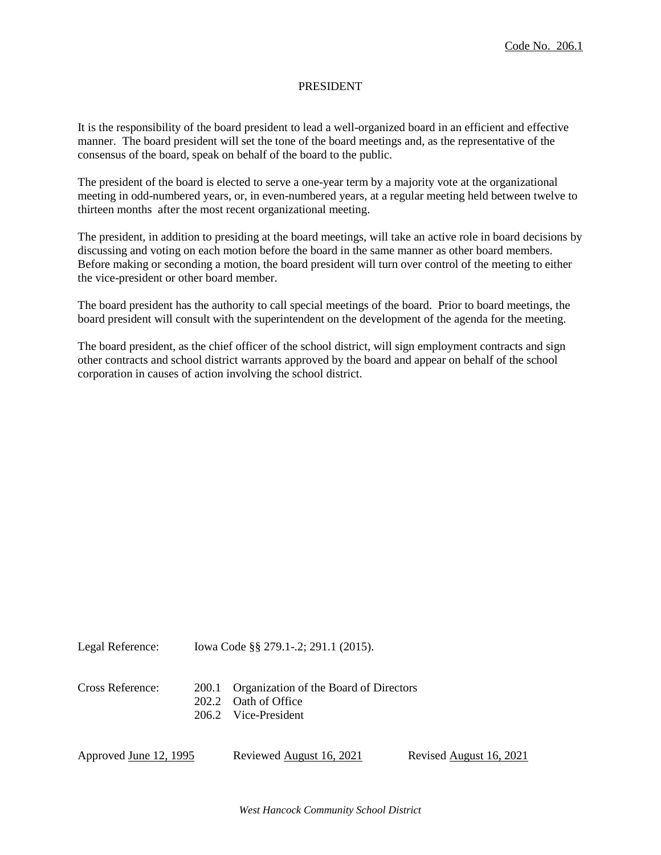### PRESIDENT

It is the responsibility of the board president to lead a well-organized board in an efficient and effective manner. The board president will set the tone of the board meetings and, as the representative of the consensus of the board, speak on behalf of the board to the public.

The president of the board is elected to serve a one-year term by a majority vote at the organizational meeting in odd-numbered years, or, in even-numbered years, at a regular meeting held between twelve to thirteen months after the most recent organizational meeting.

The president, in addition to presiding at the board meetings, will take an active role in board decisions by discussing and voting on each motion before the board in the same manner as other board members. Before making or seconding a motion, the board president will turn over control of the meeting to either the vice-president or other board member.

The board president has the authority to call special meetings of the board. Prior to board meetings, the board president will consult with the superintendent on the development of the agenda for the meeting.

The board president, as the chief officer of the school district, will sign employment contracts and sign other contracts and school district warrants approved by the board and appear on behalf of the school corporation in causes of action involving the school district.

Legal Reference: Iowa Code §§ 279.1-.2; 291.1 (2015). Cross Reference: 200.1 Organization of the Board of Directors 202.2 Oath of Office 206.2 Vice-President Approved June 12, 1995 Reviewed August 16, 2021 Revised August 16, 2021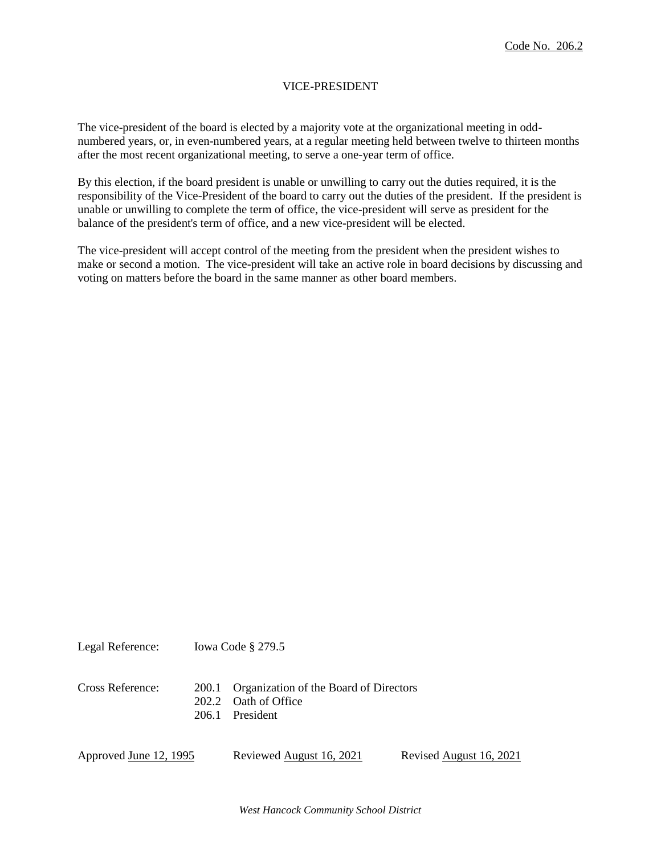# VICE-PRESIDENT

The vice-president of the board is elected by a majority vote at the organizational meeting in oddnumbered years, or, in even-numbered years, at a regular meeting held between twelve to thirteen months after the most recent organizational meeting, to serve a one-year term of office.

By this election, if the board president is unable or unwilling to carry out the duties required, it is the responsibility of the Vice-President of the board to carry out the duties of the president. If the president is unable or unwilling to complete the term of office, the vice-president will serve as president for the balance of the president's term of office, and a new vice-president will be elected.

The vice-president will accept control of the meeting from the president when the president wishes to make or second a motion. The vice-president will take an active role in board decisions by discussing and voting on matters before the board in the same manner as other board members.

Legal Reference: Iowa Code § 279.5 Cross Reference: 200.1 Organization of the Board of Directors 202.2 Oath of Office 206.1 President

Approved June 12, 1995 Reviewed August 16, 2021 Revised August 16, 2021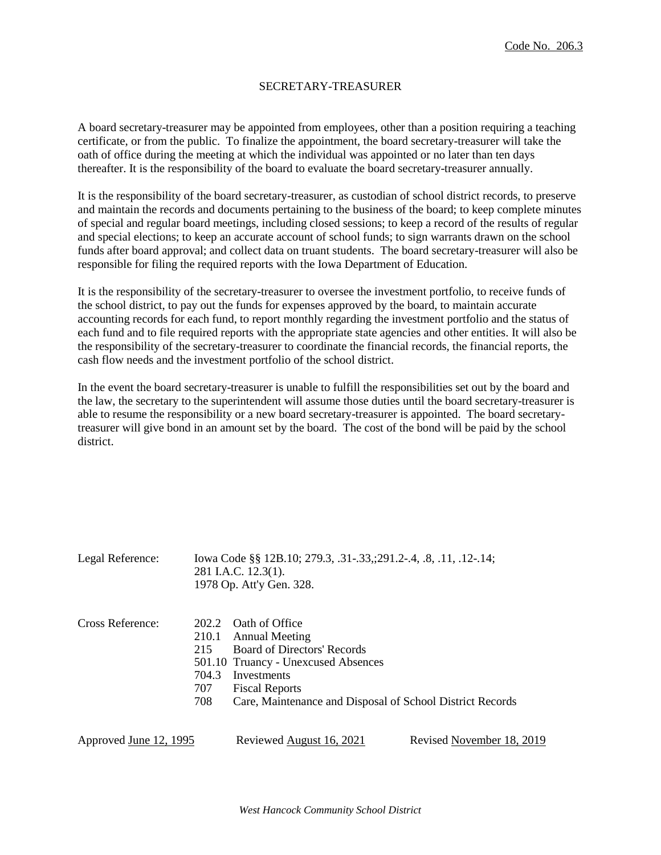## SECRETARY-TREASURER

A board secretary-treasurer may be appointed from employees, other than a position requiring a teaching certificate, or from the public. To finalize the appointment, the board secretary-treasurer will take the oath of office during the meeting at which the individual was appointed or no later than ten days thereafter. It is the responsibility of the board to evaluate the board secretary-treasurer annually.

It is the responsibility of the board secretary-treasurer, as custodian of school district records, to preserve and maintain the records and documents pertaining to the business of the board; to keep complete minutes of special and regular board meetings, including closed sessions; to keep a record of the results of regular and special elections; to keep an accurate account of school funds; to sign warrants drawn on the school funds after board approval; and collect data on truant students. The board secretary-treasurer will also be responsible for filing the required reports with the Iowa Department of Education.

It is the responsibility of the secretary-treasurer to oversee the investment portfolio, to receive funds of the school district, to pay out the funds for expenses approved by the board, to maintain accurate accounting records for each fund, to report monthly regarding the investment portfolio and the status of each fund and to file required reports with the appropriate state agencies and other entities. It will also be the responsibility of the secretary-treasurer to coordinate the financial records, the financial reports, the cash flow needs and the investment portfolio of the school district.

In the event the board secretary-treasurer is unable to fulfill the responsibilities set out by the board and the law, the secretary to the superintendent will assume those duties until the board secretary-treasurer is able to resume the responsibility or a new board secretary-treasurer is appointed. The board secretarytreasurer will give bond in an amount set by the board. The cost of the bond will be paid by the school district.

| Legal Reference:       |                                     | Iowa Code §§ 12B.10; 279.3, .31-.33,;291.2-.4, .8, .11, .12-.14;<br>281 I.A.C. 12.3(1).<br>1978 Op. Att'y Gen. 328.                                                                                                             |                           |  |
|------------------------|-------------------------------------|---------------------------------------------------------------------------------------------------------------------------------------------------------------------------------------------------------------------------------|---------------------------|--|
| Cross Reference:       | 210.1<br>215<br>704.3<br>707<br>708 | 202.2 Oath of Office<br><b>Annual Meeting</b><br><b>Board of Directors' Records</b><br>501.10 Truancy - Unexcused Absences<br>Investments<br><b>Fiscal Reports</b><br>Care, Maintenance and Disposal of School District Records |                           |  |
| Approved June 12, 1995 |                                     | Reviewed August 16, 2021                                                                                                                                                                                                        | Revised November 18, 2019 |  |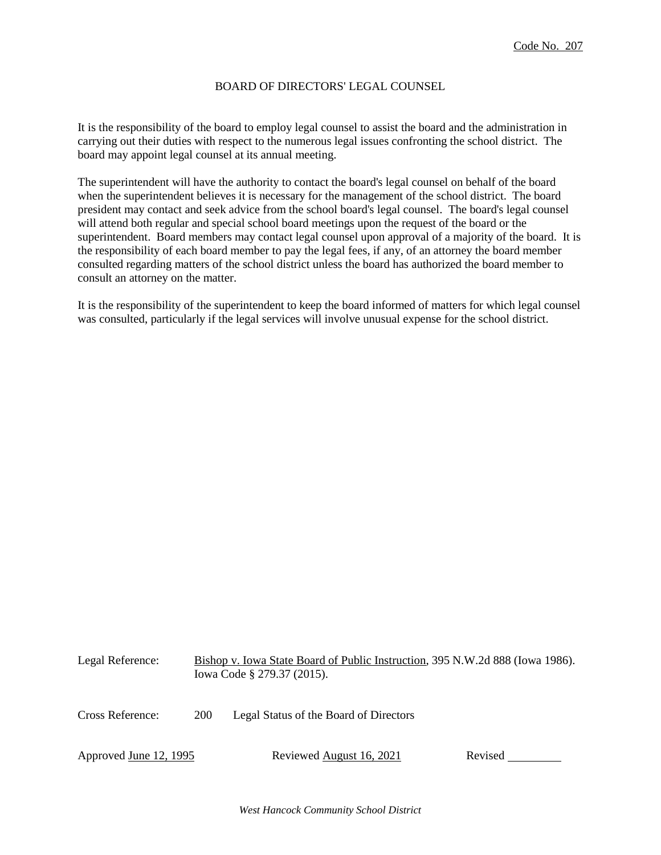## BOARD OF DIRECTORS' LEGAL COUNSEL

It is the responsibility of the board to employ legal counsel to assist the board and the administration in carrying out their duties with respect to the numerous legal issues confronting the school district. The board may appoint legal counsel at its annual meeting.

The superintendent will have the authority to contact the board's legal counsel on behalf of the board when the superintendent believes it is necessary for the management of the school district. The board president may contact and seek advice from the school board's legal counsel. The board's legal counsel will attend both regular and special school board meetings upon the request of the board or the superintendent. Board members may contact legal counsel upon approval of a majority of the board. It is the responsibility of each board member to pay the legal fees, if any, of an attorney the board member consulted regarding matters of the school district unless the board has authorized the board member to consult an attorney on the matter.

It is the responsibility of the superintendent to keep the board informed of matters for which legal counsel was consulted, particularly if the legal services will involve unusual expense for the school district.

| Legal Reference:       |     | Bishop v. Iowa State Board of Public Instruction, 395 N.W.2d 888 (Iowa 1986).<br>Iowa Code § 279.37 (2015). |         |
|------------------------|-----|-------------------------------------------------------------------------------------------------------------|---------|
| Cross Reference:       | 200 | Legal Status of the Board of Directors                                                                      |         |
| Approved June 12, 1995 |     | Reviewed August 16, 2021                                                                                    | Revised |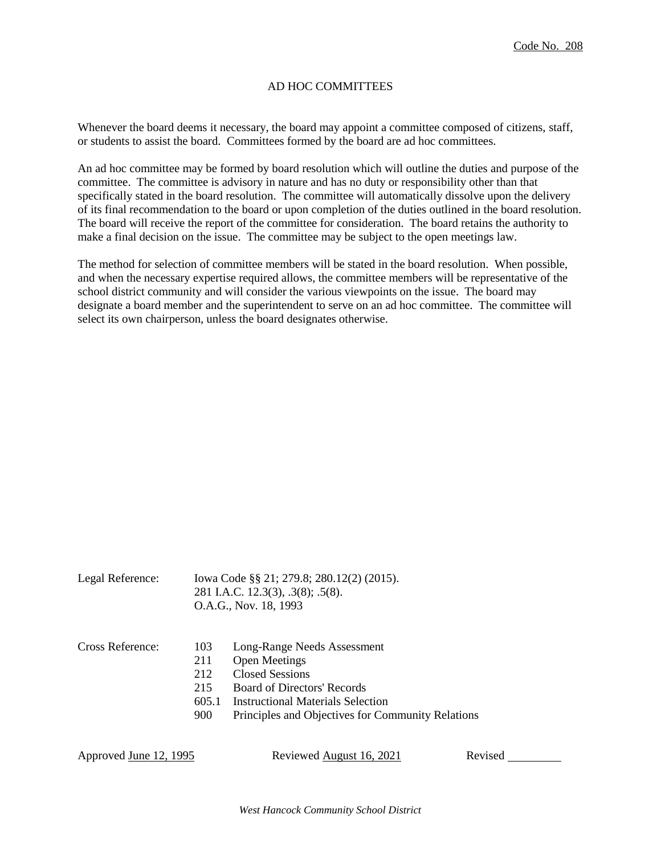# AD HOC COMMITTEES

Whenever the board deems it necessary, the board may appoint a committee composed of citizens, staff, or students to assist the board. Committees formed by the board are ad hoc committees.

An ad hoc committee may be formed by board resolution which will outline the duties and purpose of the committee. The committee is advisory in nature and has no duty or responsibility other than that specifically stated in the board resolution. The committee will automatically dissolve upon the delivery of its final recommendation to the board or upon completion of the duties outlined in the board resolution. The board will receive the report of the committee for consideration. The board retains the authority to make a final decision on the issue. The committee may be subject to the open meetings law.

The method for selection of committee members will be stated in the board resolution. When possible, and when the necessary expertise required allows, the committee members will be representative of the school district community and will consider the various viewpoints on the issue. The board may designate a board member and the superintendent to serve on an ad hoc committee. The committee will select its own chairperson, unless the board designates otherwise.

| Legal Reference: |                                          | Iowa Code §§ 21; 279.8; 280.12(2) (2015).<br>281 I.A.C. 12.3(3), .3(8); .5(8).<br>O.A.G., Nov. 18, 1993                                                                                                |
|------------------|------------------------------------------|--------------------------------------------------------------------------------------------------------------------------------------------------------------------------------------------------------|
| Cross Reference: | 103<br>211<br>212<br>215<br>605.1<br>900 | Long-Range Needs Assessment<br><b>Open Meetings</b><br>Closed Sessions<br><b>Board of Directors' Records</b><br>Instructional Materials Selection<br>Principles and Objectives for Community Relations |

Approved June 12, 1995 Reviewed August 16, 2021 Revised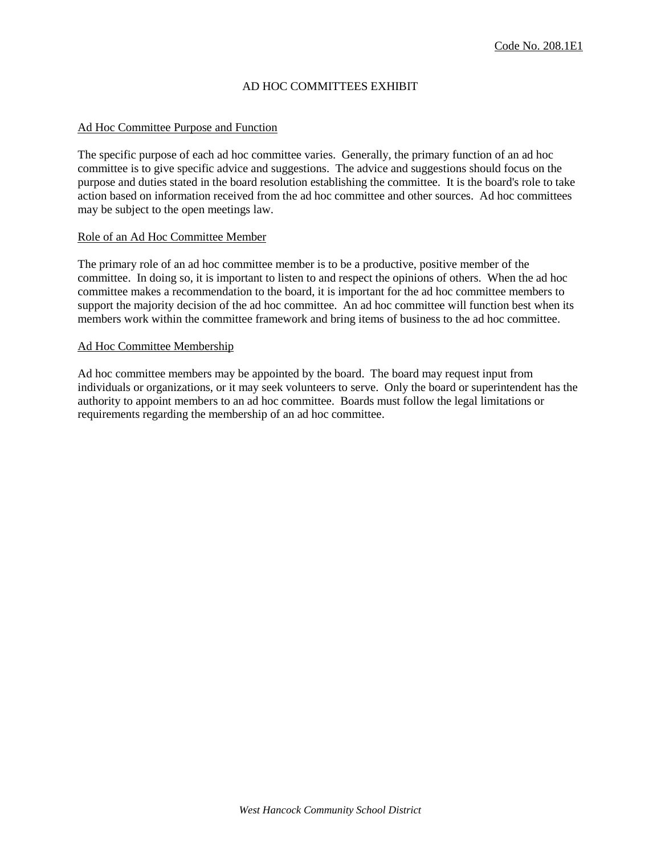# AD HOC COMMITTEES EXHIBIT

## Ad Hoc Committee Purpose and Function

The specific purpose of each ad hoc committee varies. Generally, the primary function of an ad hoc committee is to give specific advice and suggestions. The advice and suggestions should focus on the purpose and duties stated in the board resolution establishing the committee. It is the board's role to take action based on information received from the ad hoc committee and other sources. Ad hoc committees may be subject to the open meetings law.

#### Role of an Ad Hoc Committee Member

The primary role of an ad hoc committee member is to be a productive, positive member of the committee. In doing so, it is important to listen to and respect the opinions of others. When the ad hoc committee makes a recommendation to the board, it is important for the ad hoc committee members to support the majority decision of the ad hoc committee. An ad hoc committee will function best when its members work within the committee framework and bring items of business to the ad hoc committee.

#### Ad Hoc Committee Membership

Ad hoc committee members may be appointed by the board. The board may request input from individuals or organizations, or it may seek volunteers to serve. Only the board or superintendent has the authority to appoint members to an ad hoc committee. Boards must follow the legal limitations or requirements regarding the membership of an ad hoc committee.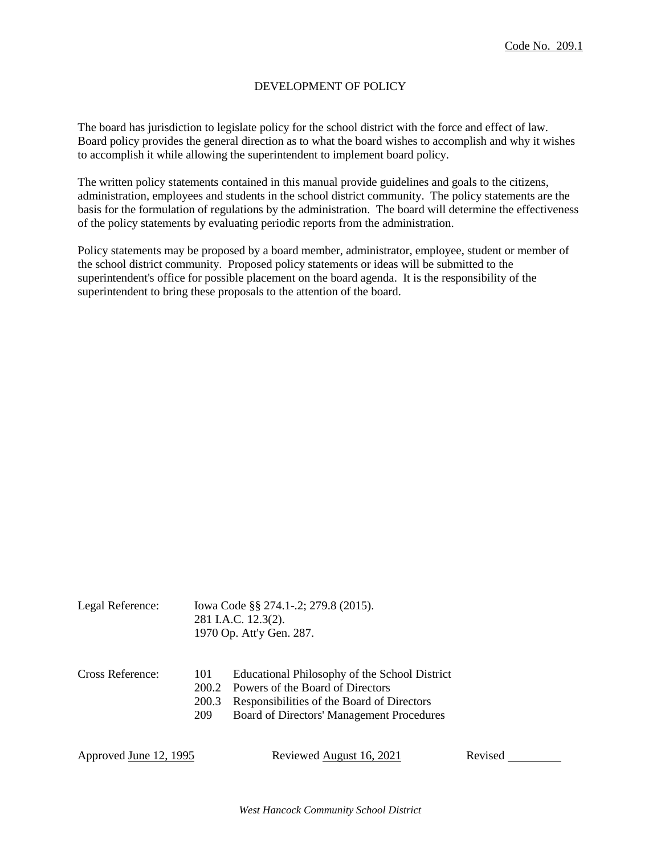# DEVELOPMENT OF POLICY

The board has jurisdiction to legislate policy for the school district with the force and effect of law. Board policy provides the general direction as to what the board wishes to accomplish and why it wishes to accomplish it while allowing the superintendent to implement board policy.

The written policy statements contained in this manual provide guidelines and goals to the citizens, administration, employees and students in the school district community. The policy statements are the basis for the formulation of regulations by the administration. The board will determine the effectiveness of the policy statements by evaluating periodic reports from the administration.

Policy statements may be proposed by a board member, administrator, employee, student or member of the school district community. Proposed policy statements or ideas will be submitted to the superintendent's office for possible placement on the board agenda. It is the responsibility of the superintendent to bring these proposals to the attention of the board.

| Legal Reference: | Iowa Code §§ 274.1-.2; 279.8 (2015).<br>281 I.A.C. 12.3(2).<br>1970 Op. Att'y Gen. 287. |                                                                                                                                                                              |
|------------------|-----------------------------------------------------------------------------------------|------------------------------------------------------------------------------------------------------------------------------------------------------------------------------|
| Cross Reference: | 101<br>200.2<br>200.3<br>209                                                            | Educational Philosophy of the School District<br>Powers of the Board of Directors<br>Responsibilities of the Board of Directors<br>Board of Directors' Management Procedures |

Approved June 12, 1995 Reviewed August 16, 2021 Revised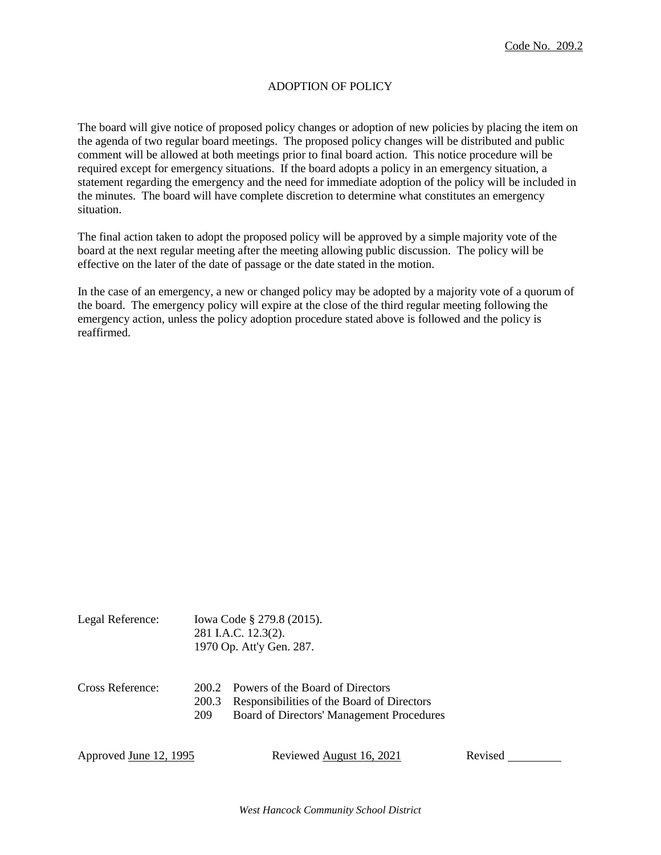# ADOPTION OF POLICY

The board will give notice of proposed policy changes or adoption of new policies by placing the item on the agenda of two regular board meetings. The proposed policy changes will be distributed and public comment will be allowed at both meetings prior to final board action. This notice procedure will be required except for emergency situations. If the board adopts a policy in an emergency situation, a statement regarding the emergency and the need for immediate adoption of the policy will be included in the minutes. The board will have complete discretion to determine what constitutes an emergency situation.

The final action taken to adopt the proposed policy will be approved by a simple majority vote of the board at the next regular meeting after the meeting allowing public discussion. The policy will be effective on the later of the date of passage or the date stated in the motion.

In the case of an emergency, a new or changed policy may be adopted by a majority vote of a quorum of the board. The emergency policy will expire at the close of the third regular meeting following the emergency action, unless the policy adoption procedure stated above is followed and the policy is reaffirmed.

| Legal Reference:       |                       | lowa Code § 279.8 (2015).<br>281 I.A.C. 12.3(2).<br>1970 Op. Att'y Gen. 287.                                                |         |
|------------------------|-----------------------|-----------------------------------------------------------------------------------------------------------------------------|---------|
| Cross Reference:       | 200.2<br>200.3<br>209 | Powers of the Board of Directors<br>Responsibilities of the Board of Directors<br>Board of Directors' Management Procedures |         |
| Approved June 12, 1995 |                       | Reviewed August 16, 2021                                                                                                    | Revised |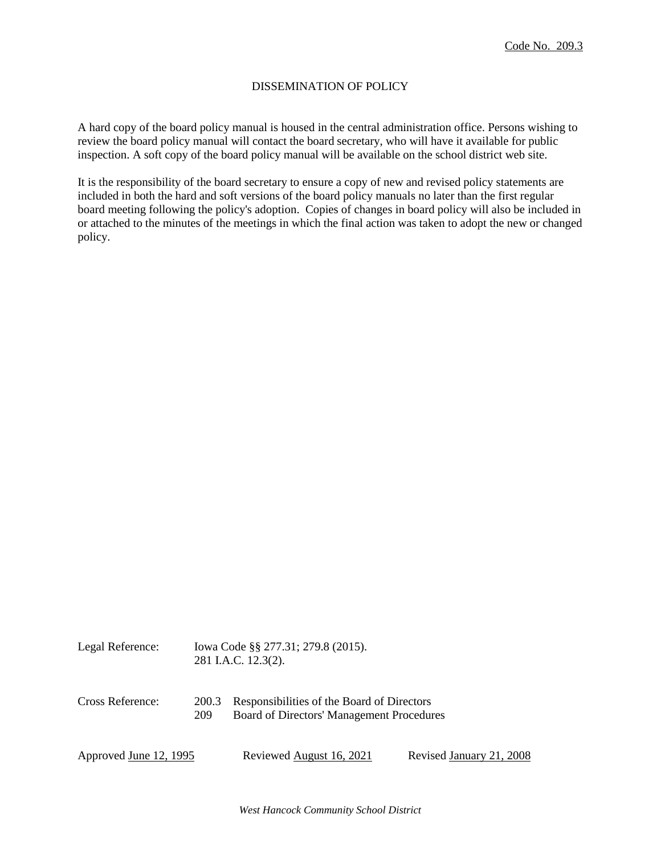# DISSEMINATION OF POLICY

A hard copy of the board policy manual is housed in the central administration office. Persons wishing to review the board policy manual will contact the board secretary, who will have it available for public inspection. A soft copy of the board policy manual will be available on the school district web site.

It is the responsibility of the board secretary to ensure a copy of new and revised policy statements are included in both the hard and soft versions of the board policy manuals no later than the first regular board meeting following the policy's adoption. Copies of changes in board policy will also be included in or attached to the minutes of the meetings in which the final action was taken to adopt the new or changed policy.

| Legal Reference:       |              | Iowa Code §§ 277.31; 279.8 (2015).<br>281 I.A.C. 12.3(2).                               |                          |
|------------------------|--------------|-----------------------------------------------------------------------------------------|--------------------------|
| Cross Reference:       | 200.3<br>209 | Responsibilities of the Board of Directors<br>Board of Directors' Management Procedures |                          |
| Approved June 12, 1995 |              | Reviewed August 16, 2021                                                                | Revised January 21, 2008 |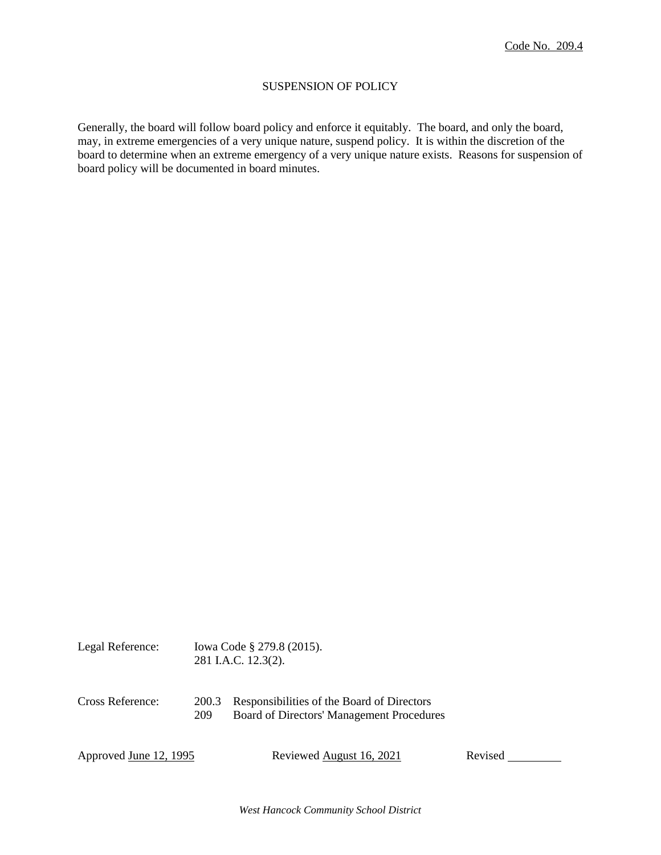# SUSPENSION OF POLICY

Generally, the board will follow board policy and enforce it equitably. The board, and only the board, may, in extreme emergencies of a very unique nature, suspend policy. It is within the discretion of the board to determine when an extreme emergency of a very unique nature exists. Reasons for suspension of board policy will be documented in board minutes.

| Legal Reference:       | lowa Code § 279.8 (2015).<br>281 I.A.C. 12.3(2). |                                                                                         |         |
|------------------------|--------------------------------------------------|-----------------------------------------------------------------------------------------|---------|
| Cross Reference:       | 200.3<br>209                                     | Responsibilities of the Board of Directors<br>Board of Directors' Management Procedures |         |
| Approved June 12, 1995 |                                                  | Reviewed August 16, 2021                                                                | Revised |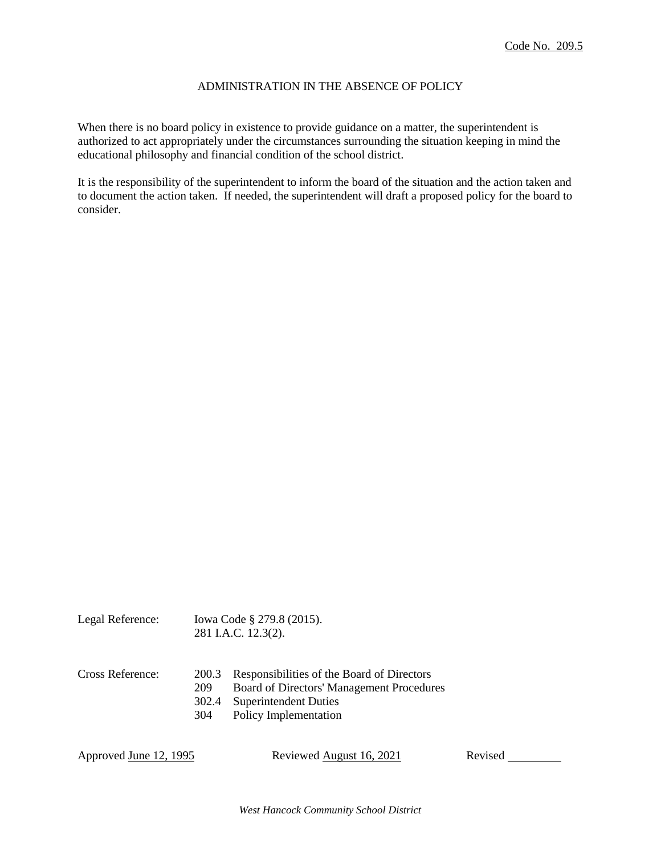## ADMINISTRATION IN THE ABSENCE OF POLICY

When there is no board policy in existence to provide guidance on a matter, the superintendent is authorized to act appropriately under the circumstances surrounding the situation keeping in mind the educational philosophy and financial condition of the school district.

It is the responsibility of the superintendent to inform the board of the situation and the action taken and to document the action taken. If needed, the superintendent will draft a proposed policy for the board to consider.

|                  |                            | 281 I.A.C. 12.3(2).                                                                                                                             |
|------------------|----------------------------|-------------------------------------------------------------------------------------------------------------------------------------------------|
| Cross Reference: | 200.3<br><b>209</b><br>304 | Responsibilities of the Board of Directors<br>Board of Directors' Management Procedures<br>302.4 Superintendent Duties<br>Policy Implementation |

Legal Reference: Iowa Code § 279.8 (2015).

Approved June 12, 1995 Reviewed August 16, 2021 Revised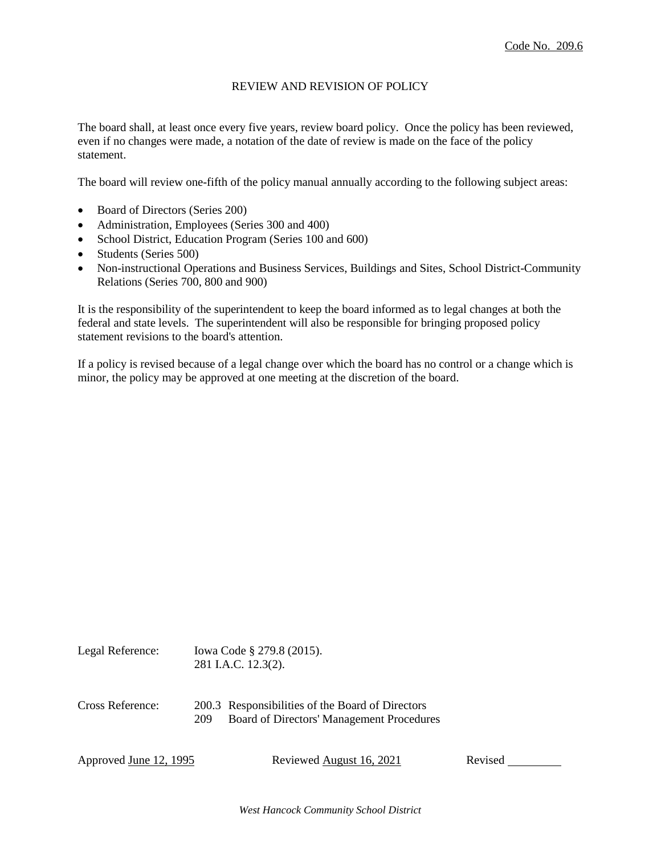## REVIEW AND REVISION OF POLICY

The board shall, at least once every five years, review board policy. Once the policy has been reviewed, even if no changes were made, a notation of the date of review is made on the face of the policy statement.

The board will review one-fifth of the policy manual annually according to the following subject areas:

- Board of Directors (Series 200)
- Administration, Employees (Series 300 and 400)
- School District, Education Program (Series 100 and 600)
- Students (Series 500)
- Non-instructional Operations and Business Services, Buildings and Sites, School District-Community Relations (Series 700, 800 and 900)

It is the responsibility of the superintendent to keep the board informed as to legal changes at both the federal and state levels. The superintendent will also be responsible for bringing proposed policy statement revisions to the board's attention.

If a policy is revised because of a legal change over which the board has no control or a change which is minor, the policy may be approved at one meeting at the discretion of the board.

| Legal Reference: | Iowa Code § 279.8 (2015).<br>281 I.A.C. 12.3(2).                                                     |
|------------------|------------------------------------------------------------------------------------------------------|
| Cross Reference: | 200.3 Responsibilities of the Board of Directors<br>Board of Directors' Management Procedures<br>209 |

Approved June 12, 1995 Reviewed August 16, 2021 Revised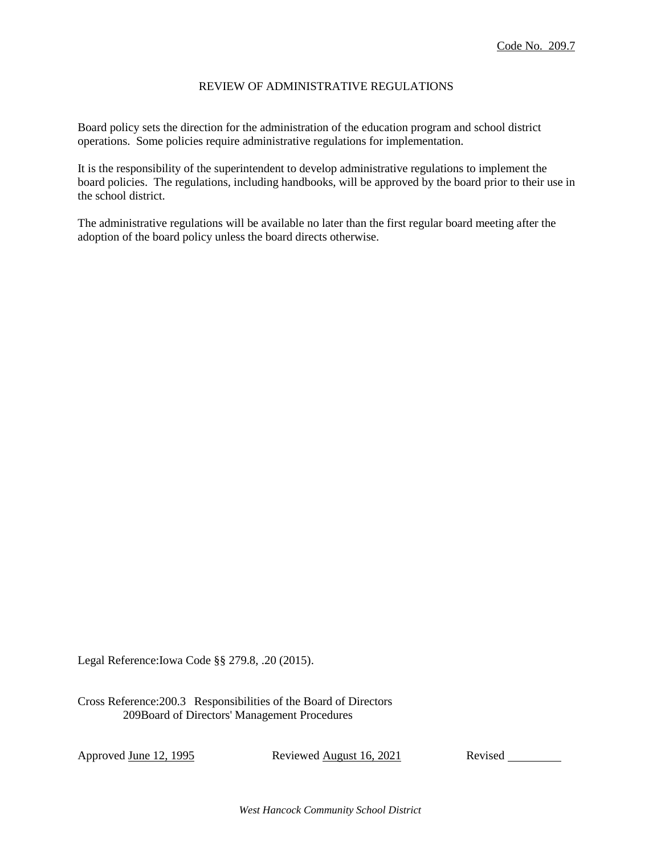### REVIEW OF ADMINISTRATIVE REGULATIONS

Board policy sets the direction for the administration of the education program and school district operations. Some policies require administrative regulations for implementation.

It is the responsibility of the superintendent to develop administrative regulations to implement the board policies. The regulations, including handbooks, will be approved by the board prior to their use in the school district.

The administrative regulations will be available no later than the first regular board meeting after the adoption of the board policy unless the board directs otherwise.

Legal Reference:Iowa Code §§ 279.8, .20 (2015).

Cross Reference:200.3 Responsibilities of the Board of Directors 209Board of Directors' Management Procedures

Approved June 12, 1995 Reviewed August 16, 2021 Revised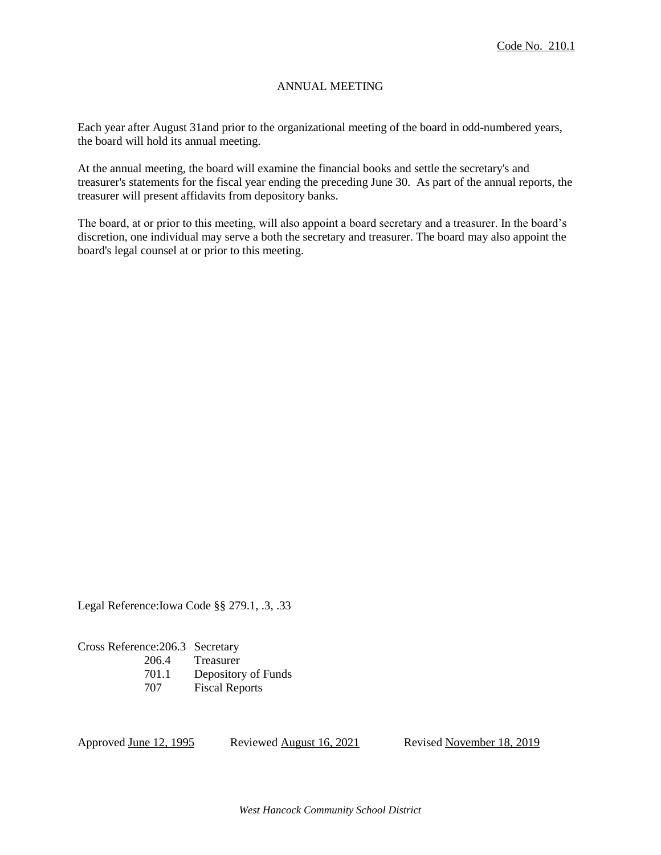# ANNUAL MEETING

Each year after August 31and prior to the organizational meeting of the board in odd-numbered years, the board will hold its annual meeting.

At the annual meeting, the board will examine the financial books and settle the secretary's and treasurer's statements for the fiscal year ending the preceding June 30. As part of the annual reports, the treasurer will present affidavits from depository banks.

The board, at or prior to this meeting, will also appoint a board secretary and a treasurer. In the board's discretion, one individual may serve a both the secretary and treasurer. The board may also appoint the board's legal counsel at or prior to this meeting.

Legal Reference:Iowa Code §§ 279.1, .3, .33

Cross Reference:206.3 Secretary 206.4 Treasurer 701.1 Depository of Funds 707 Fiscal Reports

Approved June 12, 1995 Reviewed August 16, 2021 Revised November 18, 2019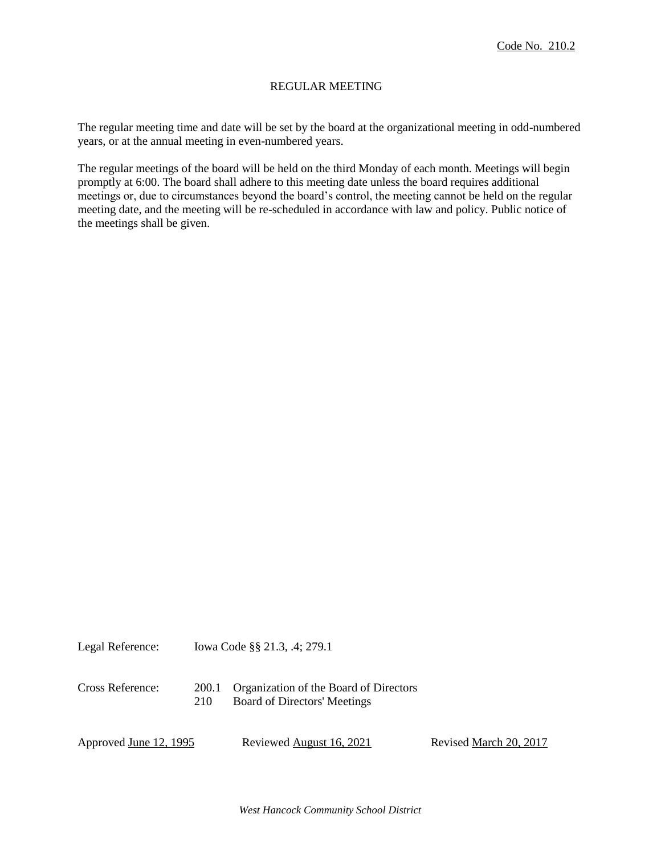## REGULAR MEETING

The regular meeting time and date will be set by the board at the organizational meeting in odd-numbered years, or at the annual meeting in even-numbered years.

The regular meetings of the board will be held on the third Monday of each month. Meetings will begin promptly at 6:00. The board shall adhere to this meeting date unless the board requires additional meetings or, due to circumstances beyond the board's control, the meeting cannot be held on the regular meeting date, and the meeting will be re-scheduled in accordance with law and policy. Public notice of the meetings shall be given.

| Legal Reference:       |              | Iowa Code §§ 21.3, .4; 279.1                                           |                        |
|------------------------|--------------|------------------------------------------------------------------------|------------------------|
| Cross Reference:       | 200.1<br>210 | Organization of the Board of Directors<br>Board of Directors' Meetings |                        |
| Approved June 12, 1995 |              | Reviewed August 16, 2021                                               | Revised March 20, 2017 |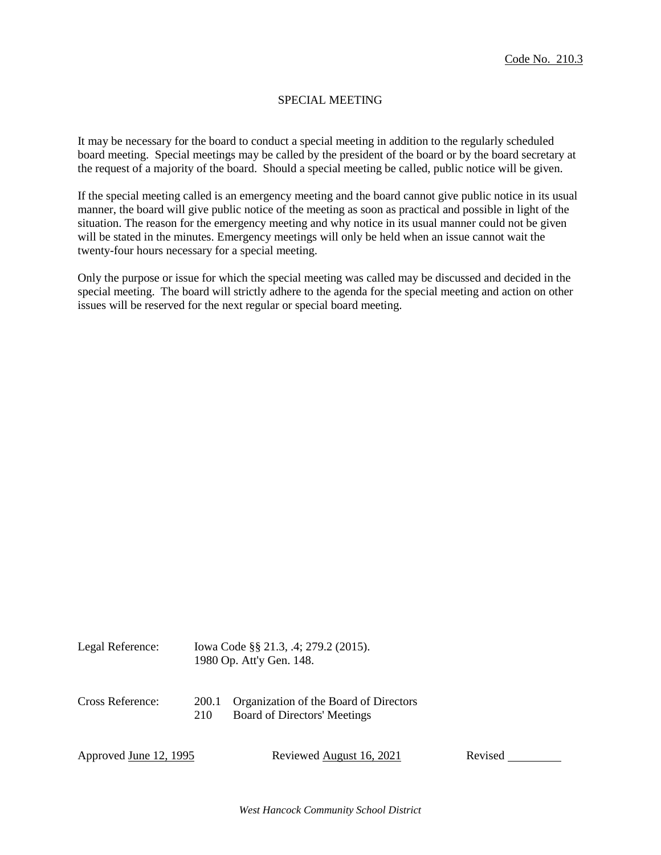## SPECIAL MEETING

It may be necessary for the board to conduct a special meeting in addition to the regularly scheduled board meeting. Special meetings may be called by the president of the board or by the board secretary at the request of a majority of the board. Should a special meeting be called, public notice will be given.

If the special meeting called is an emergency meeting and the board cannot give public notice in its usual manner, the board will give public notice of the meeting as soon as practical and possible in light of the situation. The reason for the emergency meeting and why notice in its usual manner could not be given will be stated in the minutes. Emergency meetings will only be held when an issue cannot wait the twenty-four hours necessary for a special meeting.

Only the purpose or issue for which the special meeting was called may be discussed and decided in the special meeting. The board will strictly adhere to the agenda for the special meeting and action on other issues will be reserved for the next regular or special board meeting.

| Legal Reference:       | Iowa Code §§ 21.3, .4; 279.2 (2015).<br>1980 Op. Att'y Gen. 148. |                                                                               |         |
|------------------------|------------------------------------------------------------------|-------------------------------------------------------------------------------|---------|
| Cross Reference:       | 200.1<br>210                                                     | Organization of the Board of Directors<br><b>Board of Directors' Meetings</b> |         |
| Approved June 12, 1995 |                                                                  | Reviewed August 16, 2021                                                      | Revised |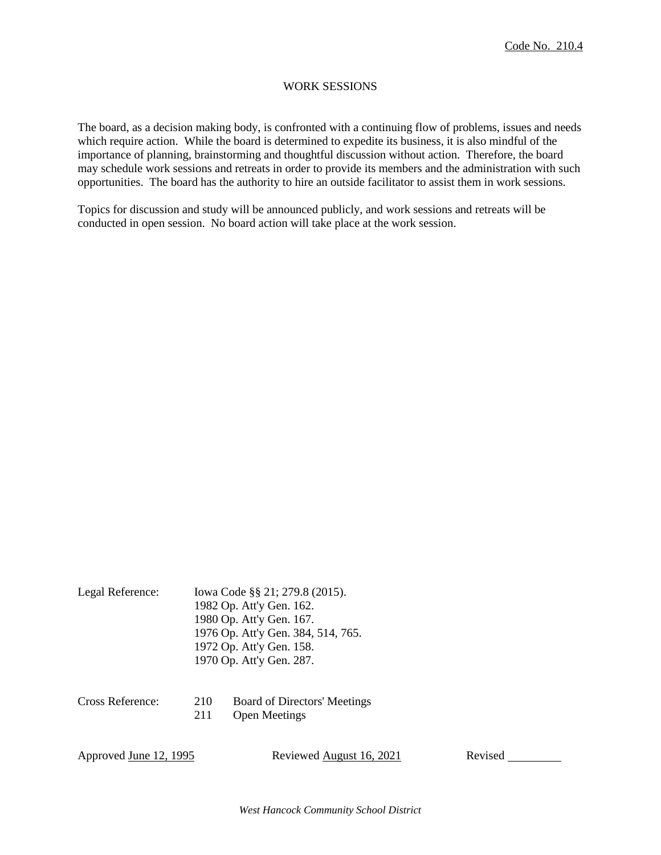## WORK SESSIONS

The board, as a decision making body, is confronted with a continuing flow of problems, issues and needs which require action. While the board is determined to expedite its business, it is also mindful of the importance of planning, brainstorming and thoughtful discussion without action. Therefore, the board may schedule work sessions and retreats in order to provide its members and the administration with such opportunities. The board has the authority to hire an outside facilitator to assist them in work sessions.

Topics for discussion and study will be announced publicly, and work sessions and retreats will be conducted in open session. No board action will take place at the work session.

| Legal Reference: | Iowa Code §§ 21; 279.8 (2015).     |
|------------------|------------------------------------|
|                  | 1982 Op. Att'y Gen. 162.           |
|                  | 1980 Op. Att'y Gen. 167.           |
|                  | 1976 Op. Att'y Gen. 384, 514, 765. |
|                  | 1972 Op. Att'y Gen. 158.           |
|                  | 1970 Op. Att'y Gen. 287.           |
|                  |                                    |

| Cross Reference: | 210 | <b>Board of Directors' Meetings</b> |
|------------------|-----|-------------------------------------|
|                  | 211 | <b>Open Meetings</b>                |

Approved June 12, 1995 Reviewed August 16, 2021 Revised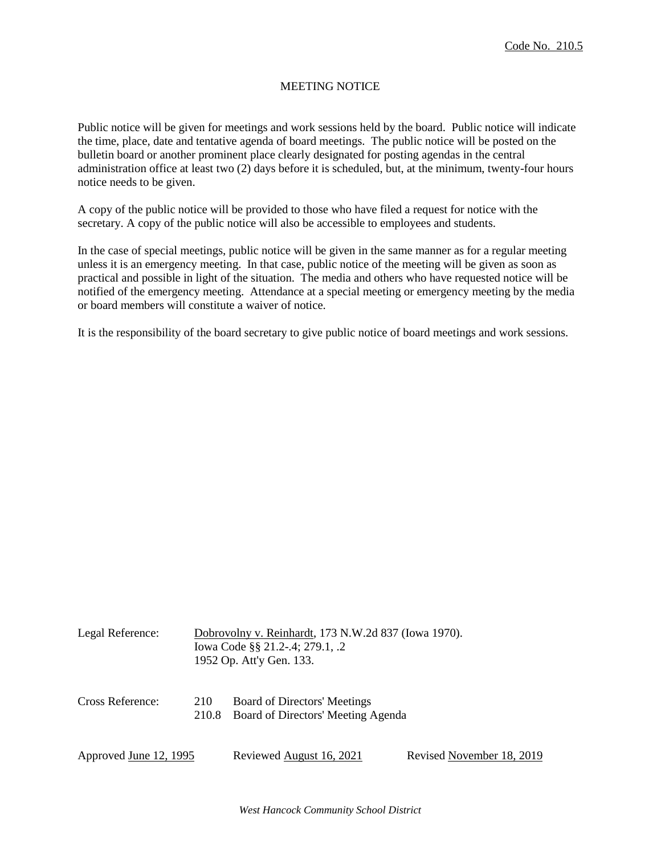# MEETING NOTICE

Public notice will be given for meetings and work sessions held by the board. Public notice will indicate the time, place, date and tentative agenda of board meetings. The public notice will be posted on the bulletin board or another prominent place clearly designated for posting agendas in the central administration office at least two (2) days before it is scheduled, but, at the minimum, twenty-four hours notice needs to be given.

A copy of the public notice will be provided to those who have filed a request for notice with the secretary. A copy of the public notice will also be accessible to employees and students.

In the case of special meetings, public notice will be given in the same manner as for a regular meeting unless it is an emergency meeting. In that case, public notice of the meeting will be given as soon as practical and possible in light of the situation. The media and others who have requested notice will be notified of the emergency meeting. Attendance at a special meeting or emergency meeting by the media or board members will constitute a waiver of notice.

It is the responsibility of the board secretary to give public notice of board meetings and work sessions.

| Legal Reference:       |     | Dobrovolny v. Reinhardt, 173 N.W.2d 837 (Iowa 1970).<br>Iowa Code §§ 21.2-.4; 279.1, .2<br>1952 Op. Att'y Gen. 133. |                           |
|------------------------|-----|---------------------------------------------------------------------------------------------------------------------|---------------------------|
| Cross Reference:       | 210 | Board of Directors' Meetings<br>210.8 Board of Directors' Meeting Agenda                                            |                           |
| Approved June 12, 1995 |     | Reviewed August 16, 2021                                                                                            | Revised November 18, 2019 |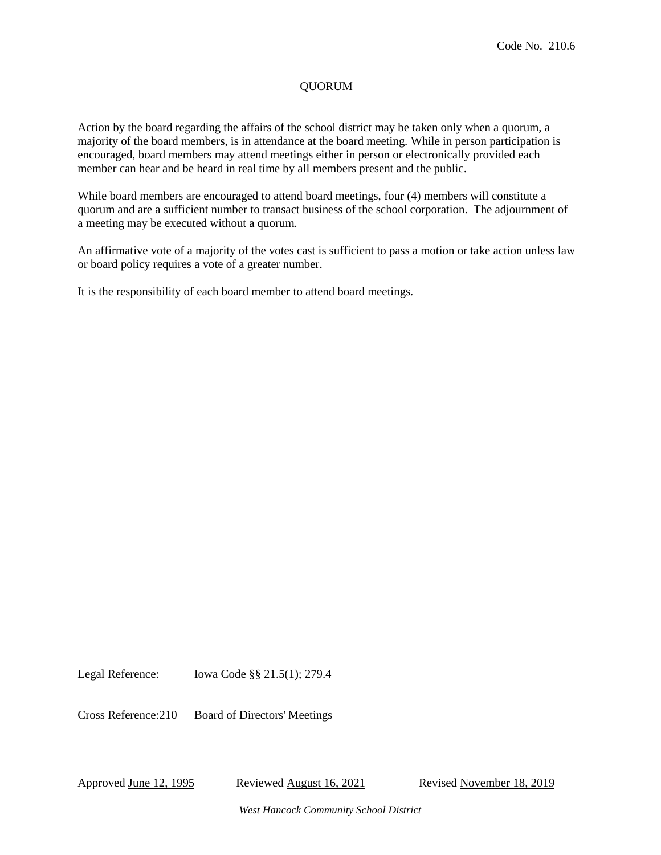# QUORUM

Action by the board regarding the affairs of the school district may be taken only when a quorum, a majority of the board members, is in attendance at the board meeting. While in person participation is encouraged, board members may attend meetings either in person or electronically provided each member can hear and be heard in real time by all members present and the public.

While board members are encouraged to attend board meetings, four (4) members will constitute a quorum and are a sufficient number to transact business of the school corporation. The adjournment of a meeting may be executed without a quorum.

An affirmative vote of a majority of the votes cast is sufficient to pass a motion or take action unless law or board policy requires a vote of a greater number.

It is the responsibility of each board member to attend board meetings.

Legal Reference: Iowa Code §§ 21.5(1); 279.4

Cross Reference:210 Board of Directors' Meetings

Approved June 12, 1995 Reviewed August 16, 2021 Revised November 18, 2019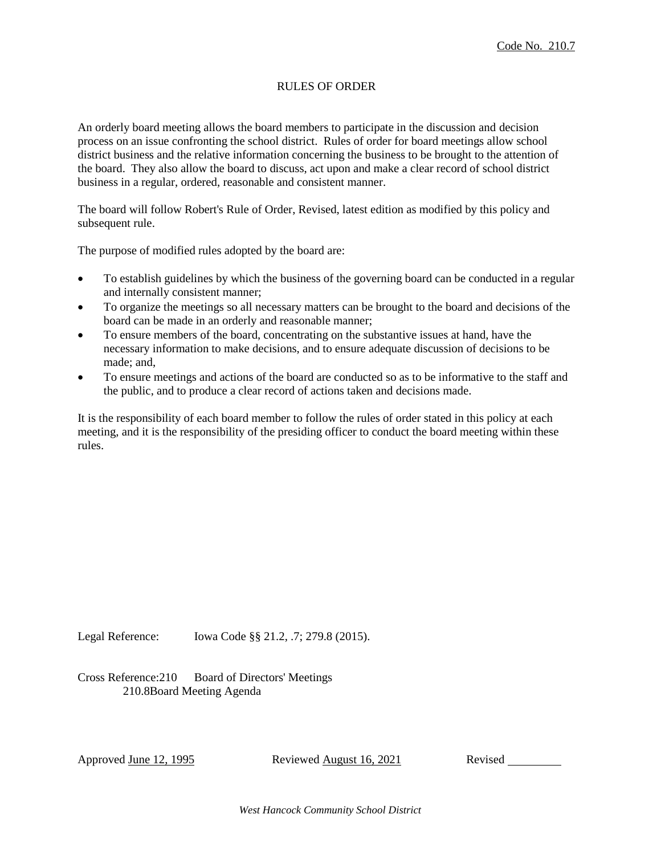# RULES OF ORDER

An orderly board meeting allows the board members to participate in the discussion and decision process on an issue confronting the school district. Rules of order for board meetings allow school district business and the relative information concerning the business to be brought to the attention of the board. They also allow the board to discuss, act upon and make a clear record of school district business in a regular, ordered, reasonable and consistent manner.

The board will follow Robert's Rule of Order, Revised, latest edition as modified by this policy and subsequent rule.

The purpose of modified rules adopted by the board are:

- To establish guidelines by which the business of the governing board can be conducted in a regular and internally consistent manner;
- To organize the meetings so all necessary matters can be brought to the board and decisions of the board can be made in an orderly and reasonable manner;
- To ensure members of the board, concentrating on the substantive issues at hand, have the necessary information to make decisions, and to ensure adequate discussion of decisions to be made; and,
- To ensure meetings and actions of the board are conducted so as to be informative to the staff and the public, and to produce a clear record of actions taken and decisions made.

It is the responsibility of each board member to follow the rules of order stated in this policy at each meeting, and it is the responsibility of the presiding officer to conduct the board meeting within these rules.

Legal Reference: Iowa Code §§ 21.2, .7; 279.8 (2015).

Cross Reference:210 Board of Directors' Meetings 210.8Board Meeting Agenda

Approved June 12, 1995 Reviewed August 16, 2021 Revised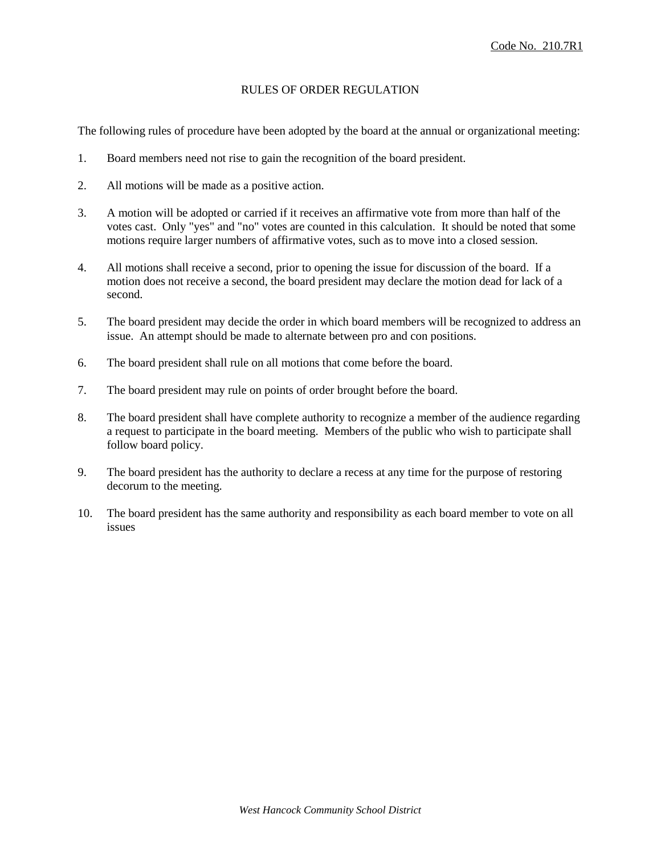# RULES OF ORDER REGULATION

The following rules of procedure have been adopted by the board at the annual or organizational meeting:

- 1. Board members need not rise to gain the recognition of the board president.
- 2. All motions will be made as a positive action.
- 3. A motion will be adopted or carried if it receives an affirmative vote from more than half of the votes cast. Only "yes" and "no" votes are counted in this calculation. It should be noted that some motions require larger numbers of affirmative votes, such as to move into a closed session.
- 4. All motions shall receive a second, prior to opening the issue for discussion of the board. If a motion does not receive a second, the board president may declare the motion dead for lack of a second.
- 5. The board president may decide the order in which board members will be recognized to address an issue. An attempt should be made to alternate between pro and con positions.
- 6. The board president shall rule on all motions that come before the board.
- 7. The board president may rule on points of order brought before the board.
- 8. The board president shall have complete authority to recognize a member of the audience regarding a request to participate in the board meeting. Members of the public who wish to participate shall follow board policy.
- 9. The board president has the authority to declare a recess at any time for the purpose of restoring decorum to the meeting.
- 10. The board president has the same authority and responsibility as each board member to vote on all issues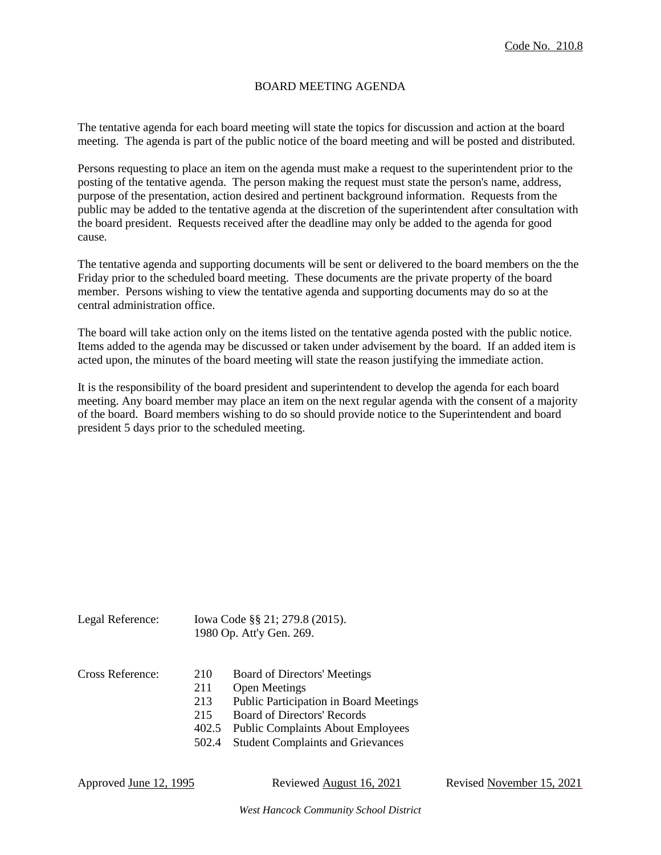## BOARD MEETING AGENDA

The tentative agenda for each board meeting will state the topics for discussion and action at the board meeting. The agenda is part of the public notice of the board meeting and will be posted and distributed.

Persons requesting to place an item on the agenda must make a request to the superintendent prior to the posting of the tentative agenda. The person making the request must state the person's name, address, purpose of the presentation, action desired and pertinent background information. Requests from the public may be added to the tentative agenda at the discretion of the superintendent after consultation with the board president. Requests received after the deadline may only be added to the agenda for good cause.

The tentative agenda and supporting documents will be sent or delivered to the board members on the the Friday prior to the scheduled board meeting. These documents are the private property of the board member. Persons wishing to view the tentative agenda and supporting documents may do so at the central administration office.

The board will take action only on the items listed on the tentative agenda posted with the public notice. Items added to the agenda may be discussed or taken under advisement by the board. If an added item is acted upon, the minutes of the board meeting will state the reason justifying the immediate action.

It is the responsibility of the board president and superintendent to develop the agenda for each board meeting. Any board member may place an item on the next regular agenda with the consent of a majority of the board. Board members wishing to do so should provide notice to the Superintendent and board president 5 days prior to the scheduled meeting.

| Legal Reference: |                   | lowa Code §§ 21; 279.8 (2015).<br>1980 Op. Att'y Gen. 269.                                            |  |
|------------------|-------------------|-------------------------------------------------------------------------------------------------------|--|
| Cross Reference: | 210<br>211<br>213 | <b>Board of Directors' Meetings</b><br><b>Open Meetings</b><br>Public Participation in Board Meetings |  |

- 215 Board of Directors' Records
- 402.5 Public Complaints About Employees
- 502.4 Student Complaints and Grievances

| Approved June 12, 1995 |  |  |  |  |
|------------------------|--|--|--|--|
|------------------------|--|--|--|--|

Reviewed August 16, 2021 Revised November 15, 2021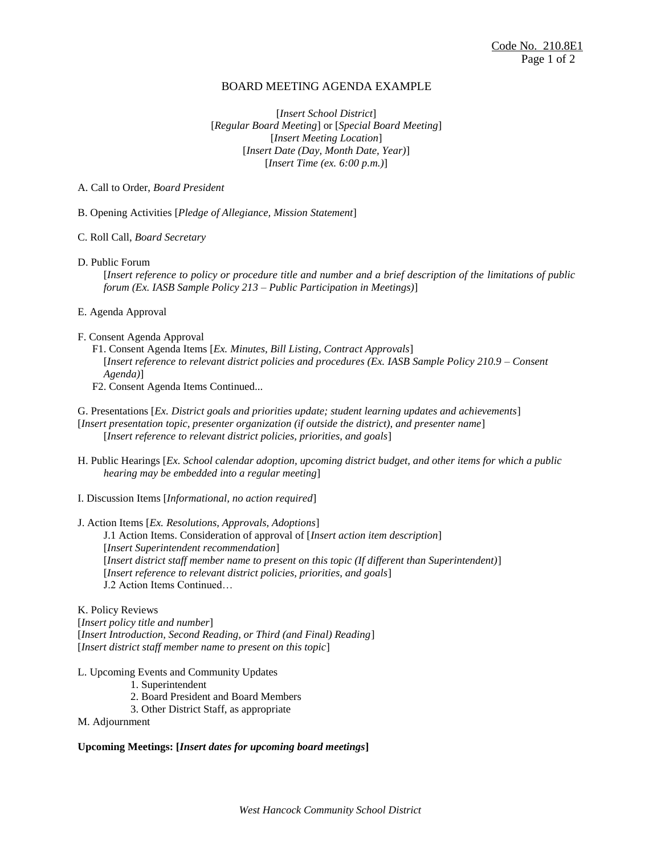#### BOARD MEETING AGENDA EXAMPLE

[*Insert School District*] [*Regular Board Meeting*] or [*Special Board Meeting*] [*Insert Meeting Location*] [*Insert Date (Day, Month Date, Year)*] [*Insert Time (ex. 6:00 p.m.)*]

A. Call to Order, *Board President* 

- B. Opening Activities [*Pledge of Allegiance, Mission Statement*]
- C. Roll Call, *Board Secretary*
- D. Public Forum

[*Insert reference to policy or procedure title and number and a brief description of the limitations of public forum (Ex. IASB Sample Policy 213 – Public Participation in Meetings)*]

- E. Agenda Approval
- F. Consent Agenda Approval
	- F1. Consent Agenda Items [*Ex. Minutes, Bill Listing, Contract Approvals*] [*Insert reference to relevant district policies and procedures (Ex. IASB Sample Policy 210.9 – Consent Agenda)*]

F2. Consent Agenda Items Continued...

- G. Presentations [*Ex. District goals and priorities update; student learning updates and achievements*]
- [*Insert presentation topic, presenter organization (if outside the district), and presenter name*] [*Insert reference to relevant district policies, priorities, and goals*]
- H. Public Hearings [*Ex. School calendar adoption, upcoming district budget, and other items for which a public hearing may be embedded into a regular meeting*]
- I. Discussion Items [*Informational, no action required*]

#### J. Action Items [*Ex. Resolutions, Approvals, Adoptions*]

J.1 Action Items. Consideration of approval of [*Insert action item description*] [*Insert Superintendent recommendation*] [*Insert district staff member name to present on this topic (If different than Superintendent)*] [*Insert reference to relevant district policies, priorities, and goals*] J.2 Action Items Continued…

#### K. Policy Reviews

[*Insert policy title and number*] [*Insert Introduction, Second Reading, or Third (and Final) Reading*] [*Insert district staff member name to present on this topic*]

- L. Upcoming Events and Community Updates
	- 1. Superintendent
	- 2. Board President and Board Members
	- 3. Other District Staff, as appropriate

M. Adjournment

#### **Upcoming Meetings: [***Insert dates for upcoming board meetings***]**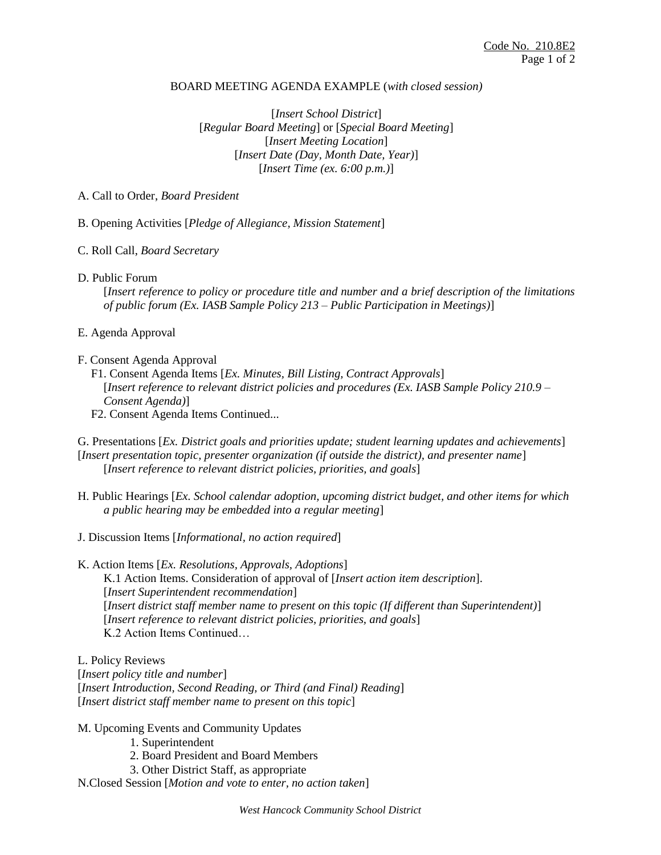# BOARD MEETING AGENDA EXAMPLE (*with closed session)*

[*Insert School District*] [*Regular Board Meeting*] or [*Special Board Meeting*] [*Insert Meeting Location*] [*Insert Date (Day, Month Date, Year)*] [*Insert Time (ex. 6:00 p.m.)*]

# A. Call to Order, *Board President*

B. Opening Activities [*Pledge of Allegiance, Mission Statement*]

- C. Roll Call, *Board Secretary*
- D. Public Forum

[*Insert reference to policy or procedure title and number and a brief description of the limitations of public forum (Ex. IASB Sample Policy 213 – Public Participation in Meetings)*]

- E. Agenda Approval
- F. Consent Agenda Approval
	- F1. Consent Agenda Items [*Ex. Minutes, Bill Listing, Contract Approvals*] [*Insert reference to relevant district policies and procedures (Ex. IASB Sample Policy 210.9 – Consent Agenda)*]
	- F2. Consent Agenda Items Continued...

G. Presentations [*Ex. District goals and priorities update; student learning updates and achievements*] [*Insert presentation topic, presenter organization (if outside the district), and presenter name*] [*Insert reference to relevant district policies, priorities, and goals*]

- H. Public Hearings [*Ex. School calendar adoption, upcoming district budget, and other items for which a public hearing may be embedded into a regular meeting*]
- J. Discussion Items [*Informational, no action required*]
- K. Action Items [*Ex. Resolutions, Approvals, Adoptions*] K.1 Action Items. Consideration of approval of [*Insert action item description*]. [*Insert Superintendent recommendation*] [*Insert district staff member name to present on this topic (If different than Superintendent)*] [*Insert reference to relevant district policies, priorities, and goals*] K.2 Action Items Continued…

L. Policy Reviews [*Insert policy title and number*] [*Insert Introduction, Second Reading, or Third (and Final) Reading*] [*Insert district staff member name to present on this topic*]

- M. Upcoming Events and Community Updates
	- 1. Superintendent
	- 2. Board President and Board Members
	- 3. Other District Staff, as appropriate
- N.Closed Session [*Motion and vote to enter, no action taken*]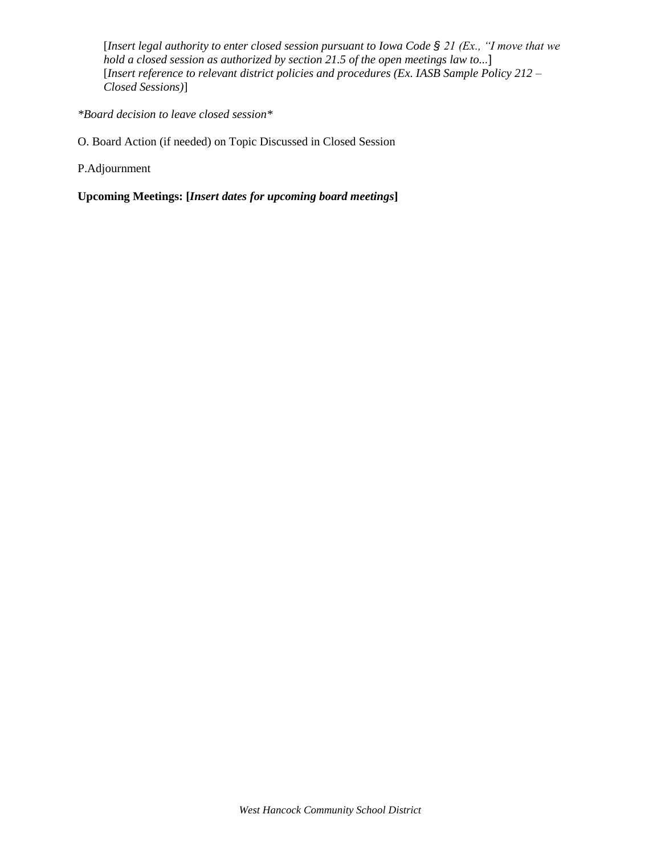[*Insert legal authority to enter closed session pursuant to Iowa Code § 21 (Ex., "I move that we hold a closed session as authorized by section 21.5 of the open meetings law to...*] [*Insert reference to relevant district policies and procedures (Ex. IASB Sample Policy 212 – Closed Sessions)*]

*\*Board decision to leave closed session\**

O. Board Action (if needed) on Topic Discussed in Closed Session

P.Adjournment

**Upcoming Meetings: [***Insert dates for upcoming board meetings***]**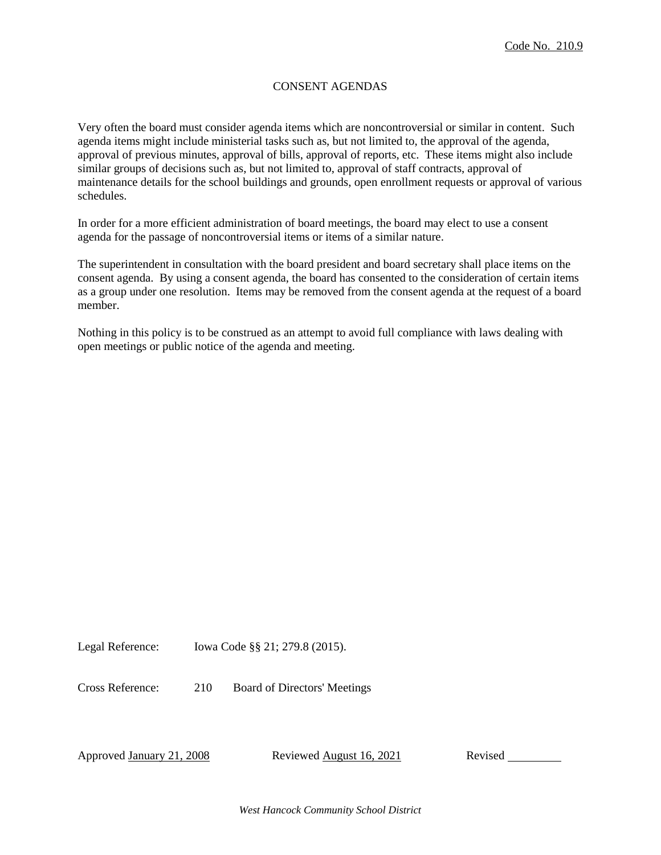# CONSENT AGENDAS

Very often the board must consider agenda items which are noncontroversial or similar in content. Such agenda items might include ministerial tasks such as, but not limited to, the approval of the agenda, approval of previous minutes, approval of bills, approval of reports, etc. These items might also include similar groups of decisions such as, but not limited to, approval of staff contracts, approval of maintenance details for the school buildings and grounds, open enrollment requests or approval of various schedules.

In order for a more efficient administration of board meetings, the board may elect to use a consent agenda for the passage of noncontroversial items or items of a similar nature.

The superintendent in consultation with the board president and board secretary shall place items on the consent agenda. By using a consent agenda, the board has consented to the consideration of certain items as a group under one resolution. Items may be removed from the consent agenda at the request of a board member.

Nothing in this policy is to be construed as an attempt to avoid full compliance with laws dealing with open meetings or public notice of the agenda and meeting.

Legal Reference: Iowa Code §§ 21; 279.8 (2015).

Cross Reference: 210 Board of Directors' Meetings

Approved January 21, 2008 Reviewed August 16, 2021 Revised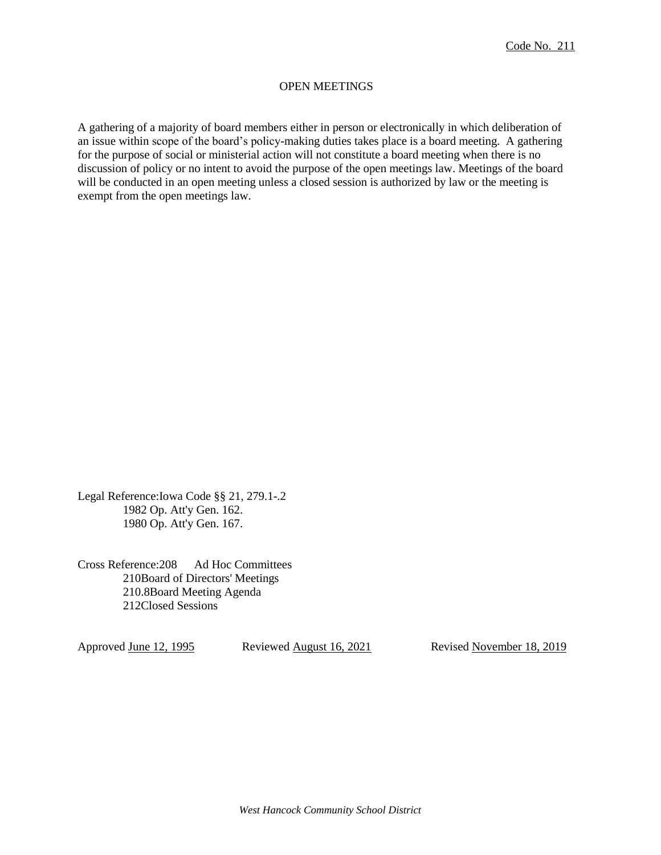# OPEN MEETINGS

A gathering of a majority of board members either in person or electronically in which deliberation of an issue within scope of the board's policy-making duties takes place is a board meeting. A gathering for the purpose of social or ministerial action will not constitute a board meeting when there is no discussion of policy or no intent to avoid the purpose of the open meetings law. Meetings of the board will be conducted in an open meeting unless a closed session is authorized by law or the meeting is exempt from the open meetings law.

Legal Reference:Iowa Code §§ 21, 279.1-.2 1982 Op. Att'y Gen. 162. 1980 Op. Att'y Gen. 167.

Cross Reference:208 Ad Hoc Committees 210Board of Directors' Meetings 210.8Board Meeting Agenda 212Closed Sessions

Approved June 12, 1995 Reviewed August 16, 2021 Revised November 18, 2019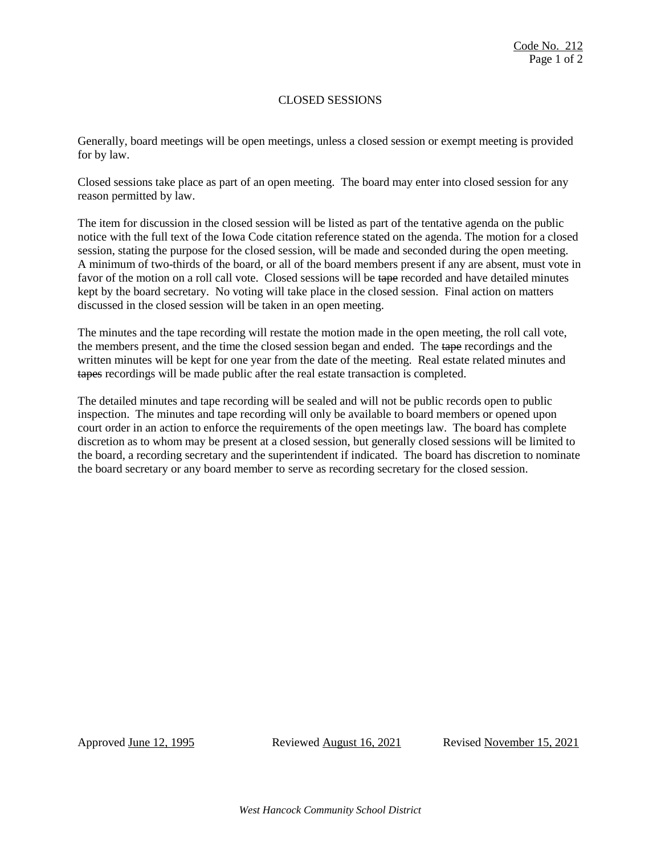# CLOSED SESSIONS

Generally, board meetings will be open meetings, unless a closed session or exempt meeting is provided for by law.

Closed sessions take place as part of an open meeting. The board may enter into closed session for any reason permitted by law.

The item for discussion in the closed session will be listed as part of the tentative agenda on the public notice with the full text of the Iowa Code citation reference stated on the agenda. The motion for a closed session, stating the purpose for the closed session, will be made and seconded during the open meeting. A minimum of two-thirds of the board, or all of the board members present if any are absent, must vote in favor of the motion on a roll call vote. Closed sessions will be tape recorded and have detailed minutes kept by the board secretary. No voting will take place in the closed session. Final action on matters discussed in the closed session will be taken in an open meeting.

The minutes and the tape recording will restate the motion made in the open meeting, the roll call vote, the members present, and the time the closed session began and ended. The tape recordings and the written minutes will be kept for one year from the date of the meeting. Real estate related minutes and tapes recordings will be made public after the real estate transaction is completed.

The detailed minutes and tape recording will be sealed and will not be public records open to public inspection. The minutes and tape recording will only be available to board members or opened upon court order in an action to enforce the requirements of the open meetings law. The board has complete discretion as to whom may be present at a closed session, but generally closed sessions will be limited to the board, a recording secretary and the superintendent if indicated. The board has discretion to nominate the board secretary or any board member to serve as recording secretary for the closed session.

Approved <u>June 12, 1995</u> Reviewed <u>August 16, 2021</u> Revised November 15, 2021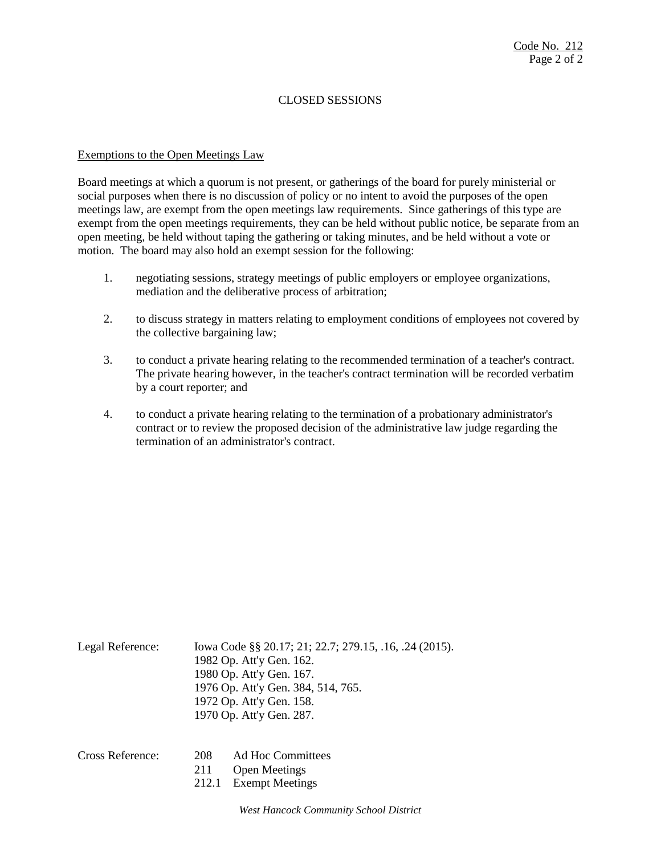# CLOSED SESSIONS

#### Exemptions to the Open Meetings Law

Board meetings at which a quorum is not present, or gatherings of the board for purely ministerial or social purposes when there is no discussion of policy or no intent to avoid the purposes of the open meetings law, are exempt from the open meetings law requirements. Since gatherings of this type are exempt from the open meetings requirements, they can be held without public notice, be separate from an open meeting, be held without taping the gathering or taking minutes, and be held without a vote or motion. The board may also hold an exempt session for the following:

- 1. negotiating sessions, strategy meetings of public employers or employee organizations, mediation and the deliberative process of arbitration;
- 2. to discuss strategy in matters relating to employment conditions of employees not covered by the collective bargaining law;
- 3. to conduct a private hearing relating to the recommended termination of a teacher's contract. The private hearing however, in the teacher's contract termination will be recorded verbatim by a court reporter; and
- 4. to conduct a private hearing relating to the termination of a probationary administrator's contract or to review the proposed decision of the administrative law judge regarding the termination of an administrator's contract.

| Legal Reference: | Iowa Code §§ 20.17; 21; 22.7; 279.15, .16, .24 (2015).<br>1982 Op. Att'y Gen. 162. |
|------------------|------------------------------------------------------------------------------------|
|                  | 1980 Op. Att'y Gen. 167.                                                           |
|                  | 1976 Op. Att'y Gen. 384, 514, 765.                                                 |
|                  | 1972 Op. Att'y Gen. 158.                                                           |
|                  | 1970 Op. Att'y Gen. 287.                                                           |
|                  |                                                                                    |
|                  |                                                                                    |

| Cross Reference: | 208 | Ad Hoc Committees     |  |
|------------------|-----|-----------------------|--|
|                  |     | 211 Open Meetings     |  |
|                  |     | 212.1 Exempt Meetings |  |
|                  |     |                       |  |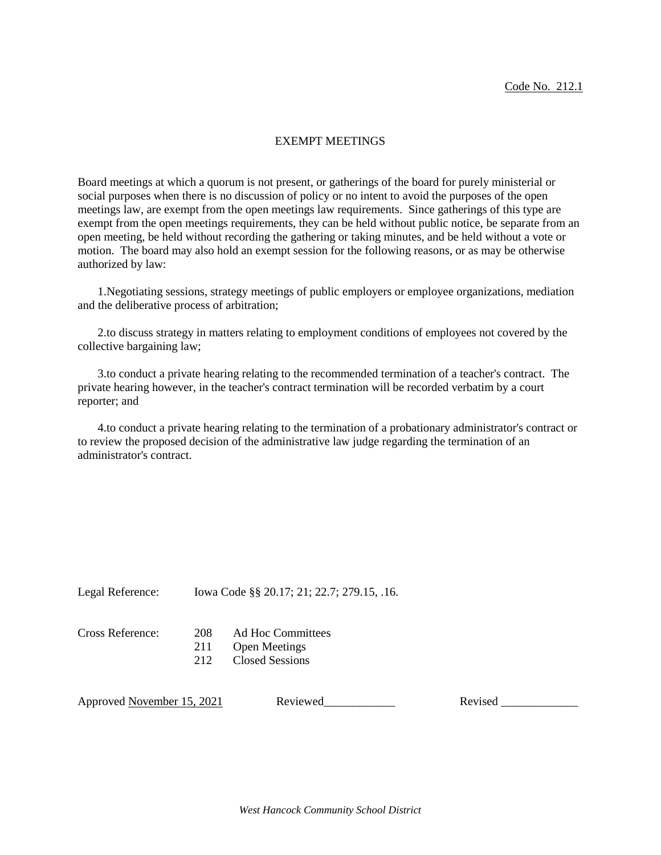#### EXEMPT MEETINGS

Board meetings at which a quorum is not present, or gatherings of the board for purely ministerial or social purposes when there is no discussion of policy or no intent to avoid the purposes of the open meetings law, are exempt from the open meetings law requirements. Since gatherings of this type are exempt from the open meetings requirements, they can be held without public notice, be separate from an open meeting, be held without recording the gathering or taking minutes, and be held without a vote or motion. The board may also hold an exempt session for the following reasons, or as may be otherwise authorized by law:

1.Negotiating sessions, strategy meetings of public employers or employee organizations, mediation and the deliberative process of arbitration;

2.to discuss strategy in matters relating to employment conditions of employees not covered by the collective bargaining law;

3.to conduct a private hearing relating to the recommended termination of a teacher's contract. The private hearing however, in the teacher's contract termination will be recorded verbatim by a court reporter; and

4.to conduct a private hearing relating to the termination of a probationary administrator's contract or to review the proposed decision of the administrative law judge regarding the termination of an administrator's contract.

Legal Reference: Iowa Code §§ 20.17; 21; 22.7; 279.15, .16.

Cross Reference: 208 Ad Hoc Committees

- 211 Open Meetings
- 212 Closed Sessions

Approved November 15, 2021 Reviewed Revised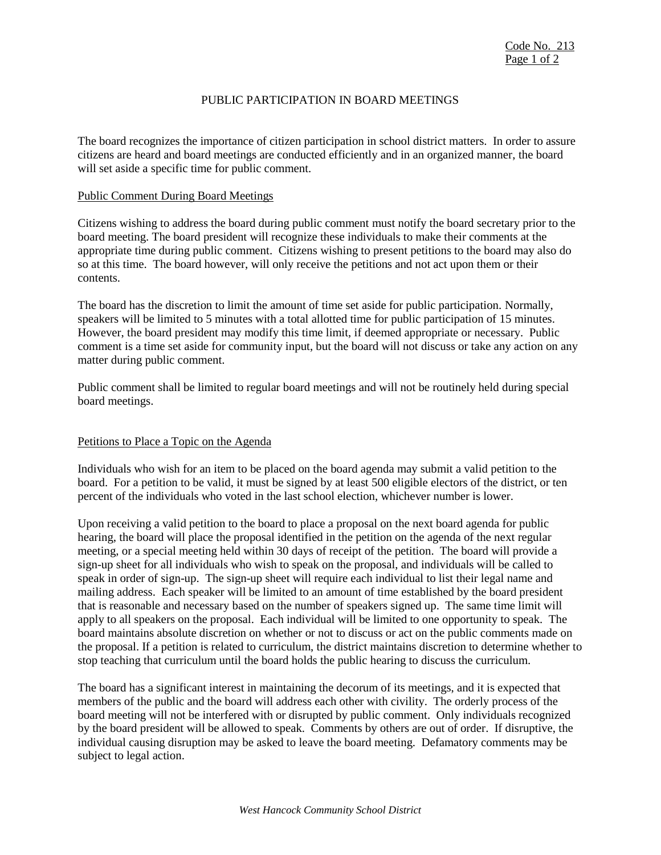## PUBLIC PARTICIPATION IN BOARD MEETINGS

The board recognizes the importance of citizen participation in school district matters. In order to assure citizens are heard and board meetings are conducted efficiently and in an organized manner, the board will set aside a specific time for public comment.

#### Public Comment During Board Meetings

Citizens wishing to address the board during public comment must notify the board secretary prior to the board meeting. The board president will recognize these individuals to make their comments at the appropriate time during public comment. Citizens wishing to present petitions to the board may also do so at this time. The board however, will only receive the petitions and not act upon them or their contents.

The board has the discretion to limit the amount of time set aside for public participation. Normally, speakers will be limited to 5 minutes with a total allotted time for public participation of 15 minutes. However, the board president may modify this time limit, if deemed appropriate or necessary. Public comment is a time set aside for community input, but the board will not discuss or take any action on any matter during public comment.

Public comment shall be limited to regular board meetings and will not be routinely held during special board meetings.

#### Petitions to Place a Topic on the Agenda

Individuals who wish for an item to be placed on the board agenda may submit a valid petition to the board. For a petition to be valid, it must be signed by at least 500 eligible electors of the district, or ten percent of the individuals who voted in the last school election, whichever number is lower.

Upon receiving a valid petition to the board to place a proposal on the next board agenda for public hearing, the board will place the proposal identified in the petition on the agenda of the next regular meeting, or a special meeting held within 30 days of receipt of the petition. The board will provide a sign-up sheet for all individuals who wish to speak on the proposal, and individuals will be called to speak in order of sign-up. The sign-up sheet will require each individual to list their legal name and mailing address. Each speaker will be limited to an amount of time established by the board president that is reasonable and necessary based on the number of speakers signed up. The same time limit will apply to all speakers on the proposal. Each individual will be limited to one opportunity to speak. The board maintains absolute discretion on whether or not to discuss or act on the public comments made on the proposal. If a petition is related to curriculum, the district maintains discretion to determine whether to stop teaching that curriculum until the board holds the public hearing to discuss the curriculum.

The board has a significant interest in maintaining the decorum of its meetings, and it is expected that members of the public and the board will address each other with civility. The orderly process of the board meeting will not be interfered with or disrupted by public comment. Only individuals recognized by the board president will be allowed to speak. Comments by others are out of order. If disruptive, the individual causing disruption may be asked to leave the board meeting. Defamatory comments may be subject to legal action.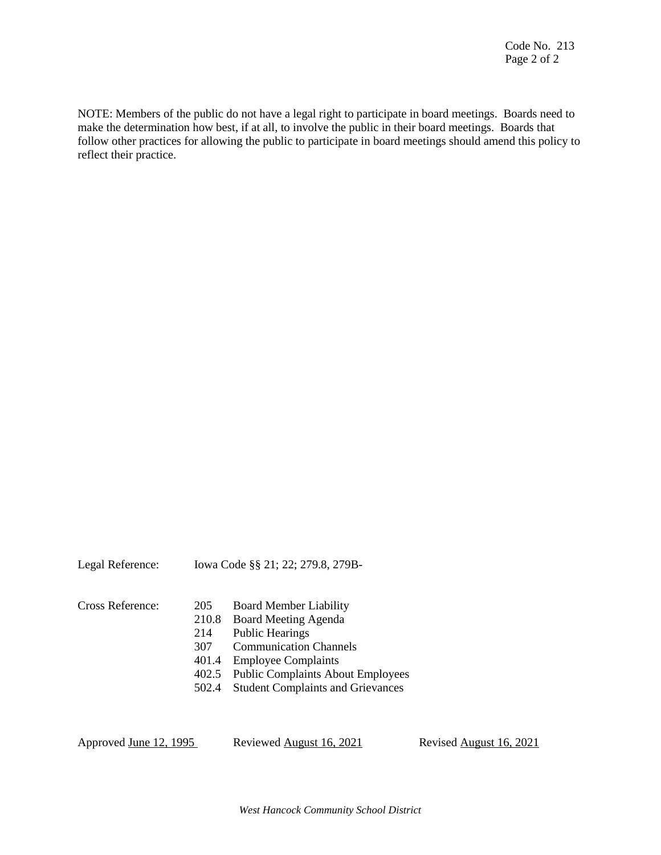NOTE: Members of the public do not have a legal right to participate in board meetings. Boards need to make the determination how best, if at all, to involve the public in their board meetings. Boards that follow other practices for allowing the public to participate in board meetings should amend this policy to reflect their practice.

| Iowa Code §§ 21; 22; 279.8, 279B-<br>Legal Reference: |
|-------------------------------------------------------|
|-------------------------------------------------------|

| Cross Reference: | 205   | <b>Board Member Liability</b>           |
|------------------|-------|-----------------------------------------|
|                  | 210.8 | Board Meeting Agenda                    |
|                  | 214   | <b>Public Hearings</b>                  |
|                  | 307   | <b>Communication Channels</b>           |
|                  | 401.4 | <b>Employee Complaints</b>              |
|                  |       | 402.5 Public Complaints About Employees |
|                  |       | 502.4 Student Complaints and Grievances |
|                  |       |                                         |

Approved June 12, 1995 Reviewed August 16, 2021 Revised August 16, 2021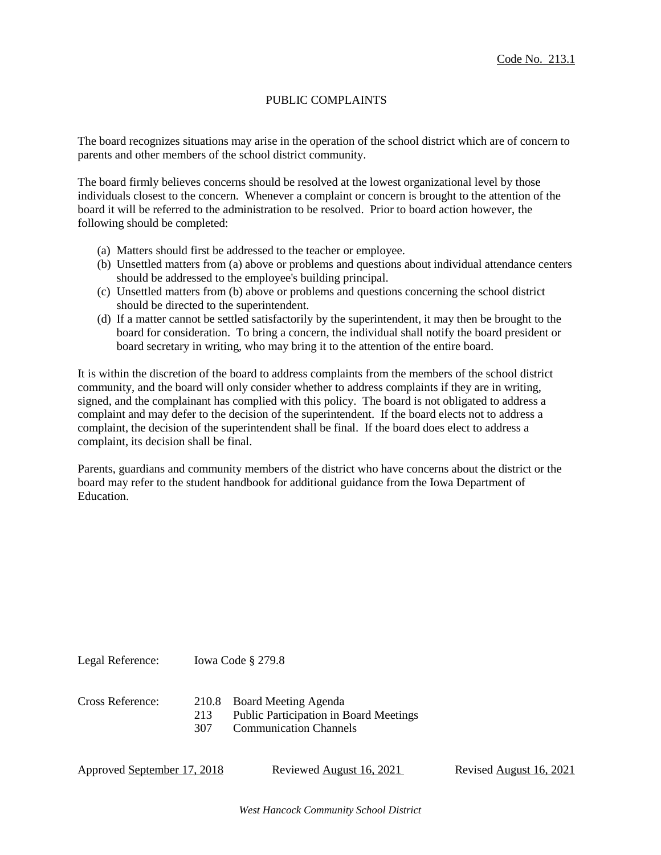## PUBLIC COMPLAINTS

The board recognizes situations may arise in the operation of the school district which are of concern to parents and other members of the school district community.

The board firmly believes concerns should be resolved at the lowest organizational level by those individuals closest to the concern. Whenever a complaint or concern is brought to the attention of the board it will be referred to the administration to be resolved. Prior to board action however, the following should be completed:

- (a) Matters should first be addressed to the teacher or employee.
- (b) Unsettled matters from (a) above or problems and questions about individual attendance centers should be addressed to the employee's building principal.
- (c) Unsettled matters from (b) above or problems and questions concerning the school district should be directed to the superintendent.
- (d) If a matter cannot be settled satisfactorily by the superintendent, it may then be brought to the board for consideration. To bring a concern, the individual shall notify the board president or board secretary in writing, who may bring it to the attention of the entire board.

It is within the discretion of the board to address complaints from the members of the school district community, and the board will only consider whether to address complaints if they are in writing, signed, and the complainant has complied with this policy. The board is not obligated to address a complaint and may defer to the decision of the superintendent. If the board elects not to address a complaint, the decision of the superintendent shall be final. If the board does elect to address a complaint, its decision shall be final.

Parents, guardians and community members of the district who have concerns about the district or the board may refer to the student handbook for additional guidance from the Iowa Department of Education.

Cross Reference: 210.8 Board Meeting Agenda 213 Public Participation in Board Meetings 307 Communication Channels

Approved September 17, 2018 Reviewed August 16, 2021 Revised August 16, 2021

Legal Reference: Iowa Code § 279.8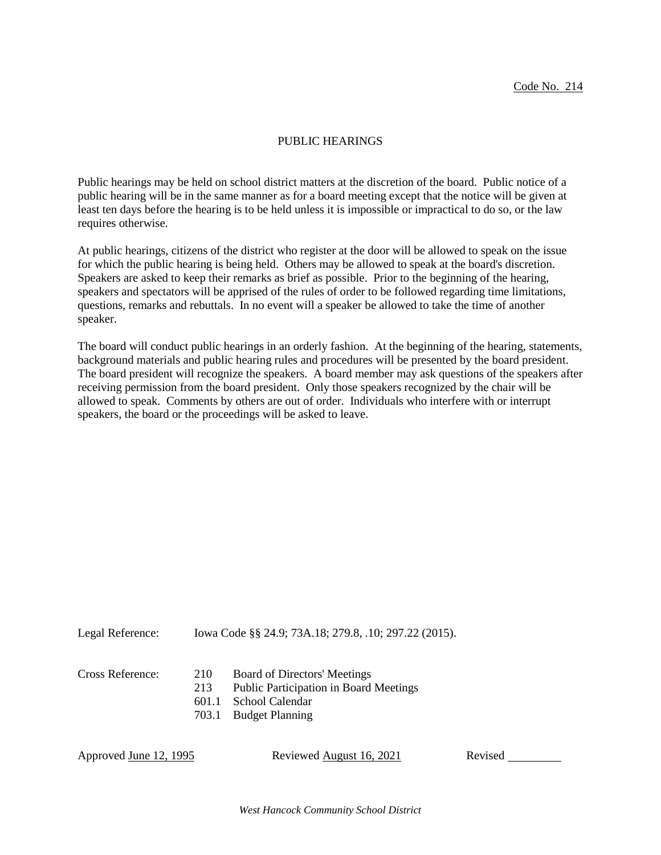#### PUBLIC HEARINGS

Public hearings may be held on school district matters at the discretion of the board. Public notice of a public hearing will be in the same manner as for a board meeting except that the notice will be given at least ten days before the hearing is to be held unless it is impossible or impractical to do so, or the law requires otherwise.

At public hearings, citizens of the district who register at the door will be allowed to speak on the issue for which the public hearing is being held. Others may be allowed to speak at the board's discretion. Speakers are asked to keep their remarks as brief as possible. Prior to the beginning of the hearing, speakers and spectators will be apprised of the rules of order to be followed regarding time limitations, questions, remarks and rebuttals. In no event will a speaker be allowed to take the time of another speaker.

The board will conduct public hearings in an orderly fashion. At the beginning of the hearing, statements, background materials and public hearing rules and procedures will be presented by the board president. The board president will recognize the speakers. A board member may ask questions of the speakers after receiving permission from the board president. Only those speakers recognized by the chair will be allowed to speak. Comments by others are out of order. Individuals who interfere with or interrupt speakers, the board or the proceedings will be asked to leave.

Legal Reference: Iowa Code §§ 24.9; 73A.18; 279.8, .10; 297.22 (2015).

- Cross Reference: 210 Board of Directors' Meetings
	- 213 Public Participation in Board Meetings
		- 601.1 School Calendar
		- 703.1 Budget Planning

Approved June 12, 1995 Reviewed August 16, 2021 Revised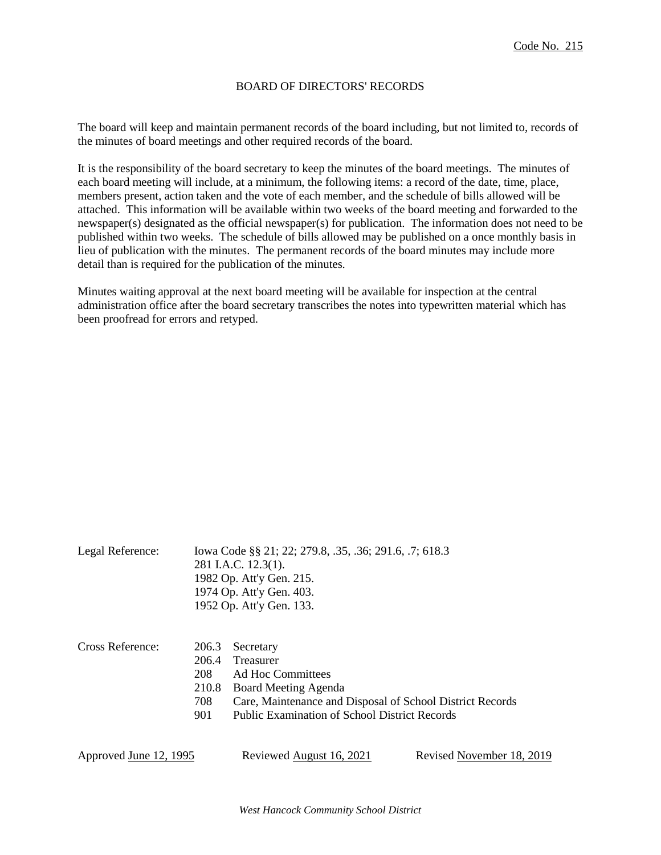### BOARD OF DIRECTORS' RECORDS

The board will keep and maintain permanent records of the board including, but not limited to, records of the minutes of board meetings and other required records of the board.

It is the responsibility of the board secretary to keep the minutes of the board meetings. The minutes of each board meeting will include, at a minimum, the following items: a record of the date, time, place, members present, action taken and the vote of each member, and the schedule of bills allowed will be attached. This information will be available within two weeks of the board meeting and forwarded to the newspaper(s) designated as the official newspaper(s) for publication. The information does not need to be published within two weeks. The schedule of bills allowed may be published on a once monthly basis in lieu of publication with the minutes. The permanent records of the board minutes may include more detail than is required for the publication of the minutes.

Minutes waiting approval at the next board meeting will be available for inspection at the central administration office after the board secretary transcribes the notes into typewritten material which has been proofread for errors and retyped.

| Legal Reference:       |                                              | Iowa Code §§ 21; 22; 279.8, .35, .36; 291.6, .7; 618.3<br>281 I.A.C. 12.3(1).<br>1982 Op. Att'y Gen. 215.<br>1974 Op. Att'y Gen. 403.<br>1952 Op. Att'y Gen. 133.                        |                           |
|------------------------|----------------------------------------------|------------------------------------------------------------------------------------------------------------------------------------------------------------------------------------------|---------------------------|
| Cross Reference:       | 206.3<br>206.4<br>208<br>210.8<br>708<br>901 | Secretary<br>Treasurer<br>Ad Hoc Committees<br>Board Meeting Agenda<br>Care, Maintenance and Disposal of School District Records<br><b>Public Examination of School District Records</b> |                           |
| Approved June 12, 1995 |                                              | Reviewed August 16, 2021                                                                                                                                                                 | Revised November 18, 2019 |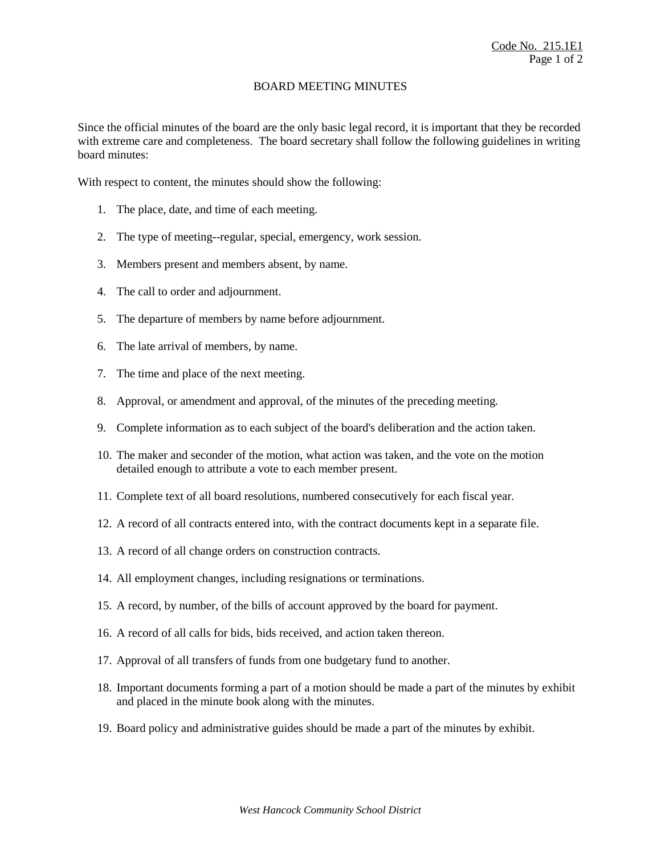## BOARD MEETING MINUTES

Since the official minutes of the board are the only basic legal record, it is important that they be recorded with extreme care and completeness. The board secretary shall follow the following guidelines in writing board minutes:

With respect to content, the minutes should show the following:

- 1. The place, date, and time of each meeting.
- 2. The type of meeting--regular, special, emergency, work session.
- 3. Members present and members absent, by name.
- 4. The call to order and adjournment.
- 5. The departure of members by name before adjournment.
- 6. The late arrival of members, by name.
- 7. The time and place of the next meeting.
- 8. Approval, or amendment and approval, of the minutes of the preceding meeting.
- 9. Complete information as to each subject of the board's deliberation and the action taken.
- 10. The maker and seconder of the motion, what action was taken, and the vote on the motion detailed enough to attribute a vote to each member present.
- 11. Complete text of all board resolutions, numbered consecutively for each fiscal year.
- 12. A record of all contracts entered into, with the contract documents kept in a separate file.
- 13. A record of all change orders on construction contracts.
- 14. All employment changes, including resignations or terminations.
- 15. A record, by number, of the bills of account approved by the board for payment.
- 16. A record of all calls for bids, bids received, and action taken thereon.
- 17. Approval of all transfers of funds from one budgetary fund to another.
- 18. Important documents forming a part of a motion should be made a part of the minutes by exhibit and placed in the minute book along with the minutes.
- 19. Board policy and administrative guides should be made a part of the minutes by exhibit.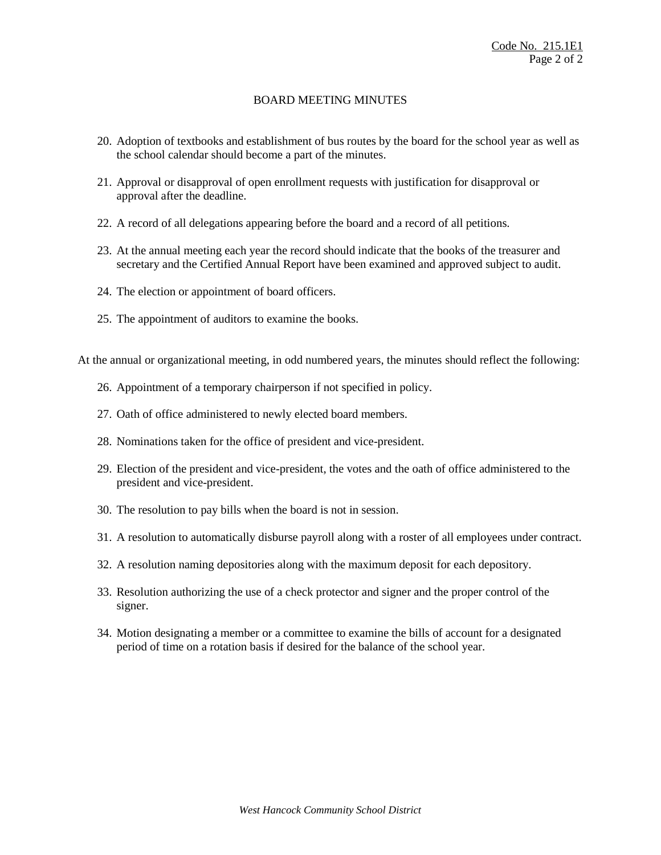# BOARD MEETING MINUTES

- 20. Adoption of textbooks and establishment of bus routes by the board for the school year as well as the school calendar should become a part of the minutes.
- 21. Approval or disapproval of open enrollment requests with justification for disapproval or approval after the deadline.
- 22. A record of all delegations appearing before the board and a record of all petitions.
- 23. At the annual meeting each year the record should indicate that the books of the treasurer and secretary and the Certified Annual Report have been examined and approved subject to audit.
- 24. The election or appointment of board officers.
- 25. The appointment of auditors to examine the books.

At the annual or organizational meeting, in odd numbered years, the minutes should reflect the following:

- 26. Appointment of a temporary chairperson if not specified in policy.
- 27. Oath of office administered to newly elected board members.
- 28. Nominations taken for the office of president and vice-president.
- 29. Election of the president and vice-president, the votes and the oath of office administered to the president and vice-president.
- 30. The resolution to pay bills when the board is not in session.
- 31. A resolution to automatically disburse payroll along with a roster of all employees under contract.
- 32. A resolution naming depositories along with the maximum deposit for each depository.
- 33. Resolution authorizing the use of a check protector and signer and the proper control of the signer.
- 34. Motion designating a member or a committee to examine the bills of account for a designated period of time on a rotation basis if desired for the balance of the school year.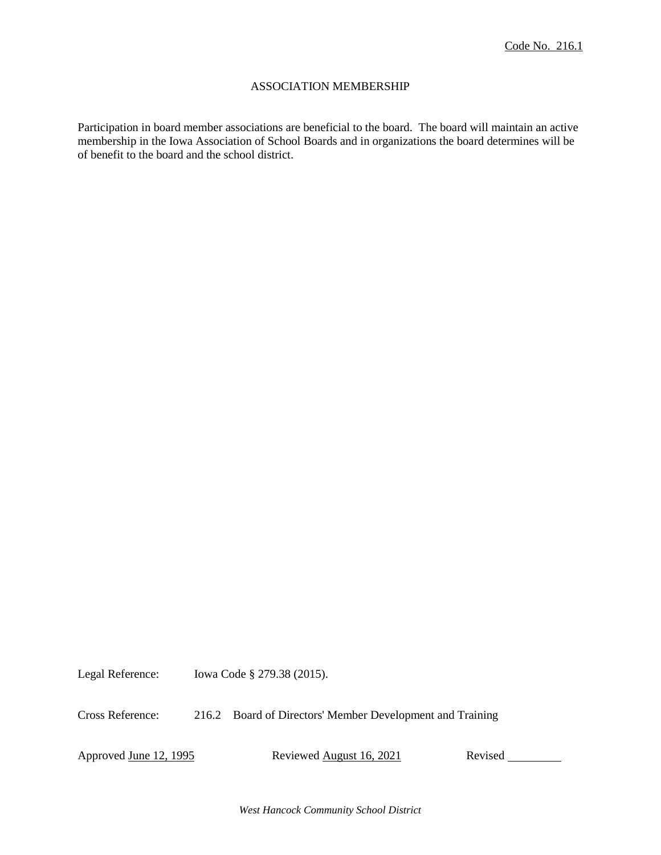## ASSOCIATION MEMBERSHIP

Participation in board member associations are beneficial to the board. The board will maintain an active membership in the Iowa Association of School Boards and in organizations the board determines will be of benefit to the board and the school district.

Legal Reference: Iowa Code § 279.38 (2015).

Cross Reference: 216.2 Board of Directors' Member Development and Training

Approved June 12, 1995 Reviewed August 16, 2021 Revised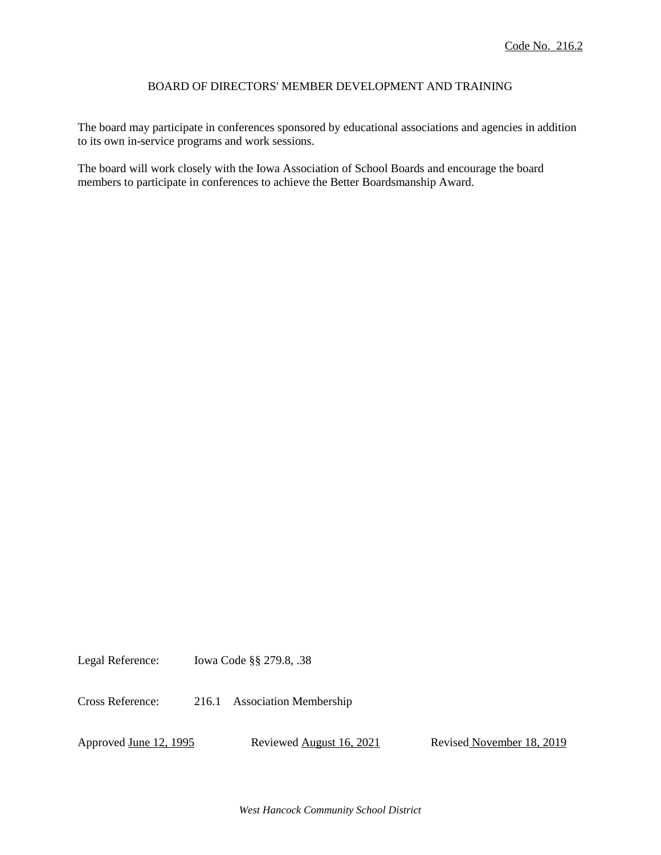## BOARD OF DIRECTORS' MEMBER DEVELOPMENT AND TRAINING

The board may participate in conferences sponsored by educational associations and agencies in addition to its own in-service programs and work sessions.

The board will work closely with the Iowa Association of School Boards and encourage the board members to participate in conferences to achieve the Better Boardsmanship Award.

Legal Reference: Iowa Code §§ 279.8, .38

Cross Reference: 216.1 Association Membership

Approved <u>June 12, 1995</u> Reviewed August 16, 2021 Revised November 18, 2019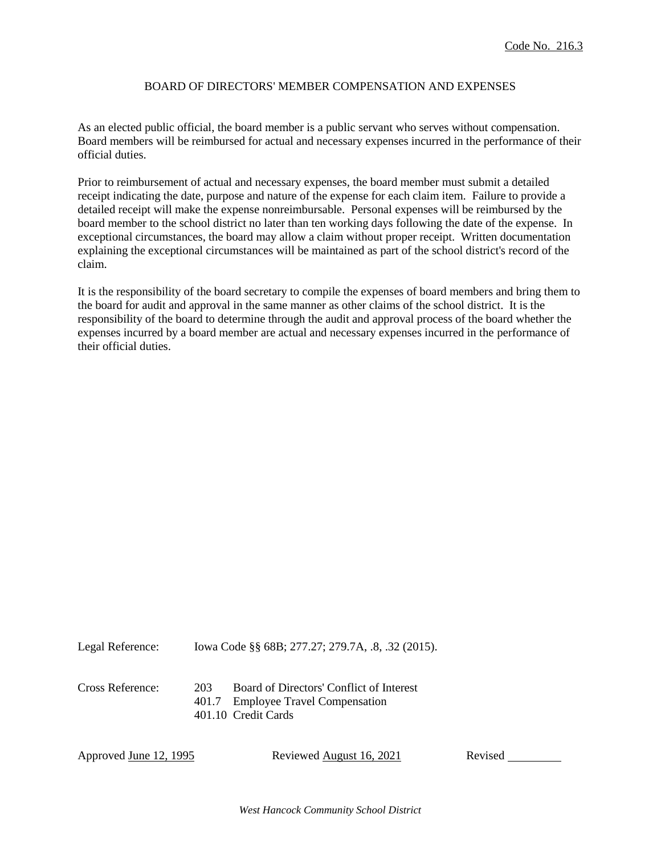## BOARD OF DIRECTORS' MEMBER COMPENSATION AND EXPENSES

As an elected public official, the board member is a public servant who serves without compensation. Board members will be reimbursed for actual and necessary expenses incurred in the performance of their official duties.

Prior to reimbursement of actual and necessary expenses, the board member must submit a detailed receipt indicating the date, purpose and nature of the expense for each claim item. Failure to provide a detailed receipt will make the expense nonreimbursable. Personal expenses will be reimbursed by the board member to the school district no later than ten working days following the date of the expense. In exceptional circumstances, the board may allow a claim without proper receipt. Written documentation explaining the exceptional circumstances will be maintained as part of the school district's record of the claim.

It is the responsibility of the board secretary to compile the expenses of board members and bring them to the board for audit and approval in the same manner as other claims of the school district. It is the responsibility of the board to determine through the audit and approval process of the board whether the expenses incurred by a board member are actual and necessary expenses incurred in the performance of their official duties.

Legal Reference: Iowa Code §§ 68B; 277.27; 279.7A, .8, .32 (2015).

Cross Reference: 203 Board of Directors' Conflict of Interest 401.7 Employee Travel Compensation 401.10 Credit Cards

Approved June 12, 1995 Reviewed August 16, 2021 Revised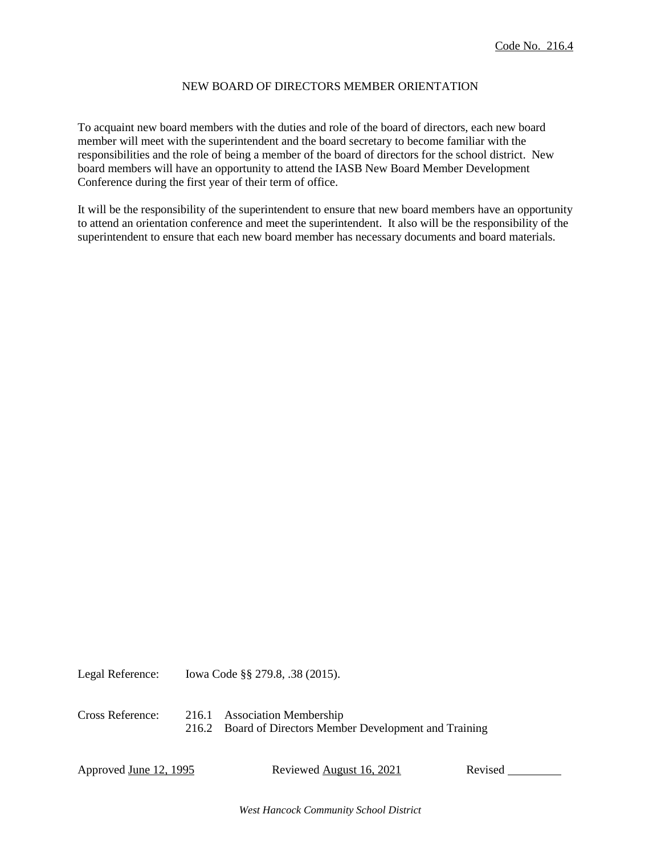## NEW BOARD OF DIRECTORS MEMBER ORIENTATION

To acquaint new board members with the duties and role of the board of directors, each new board member will meet with the superintendent and the board secretary to become familiar with the responsibilities and the role of being a member of the board of directors for the school district. New board members will have an opportunity to attend the IASB New Board Member Development Conference during the first year of their term of office.

It will be the responsibility of the superintendent to ensure that new board members have an opportunity to attend an orientation conference and meet the superintendent. It also will be the responsibility of the superintendent to ensure that each new board member has necessary documents and board materials.

Legal Reference: Iowa Code §§ 279.8, .38 (2015).

Cross Reference: 216.1 Association Membership 216.2 Board of Directors Member Development and Training

Approved June 12, 1995 Reviewed August 16, 2021 Revised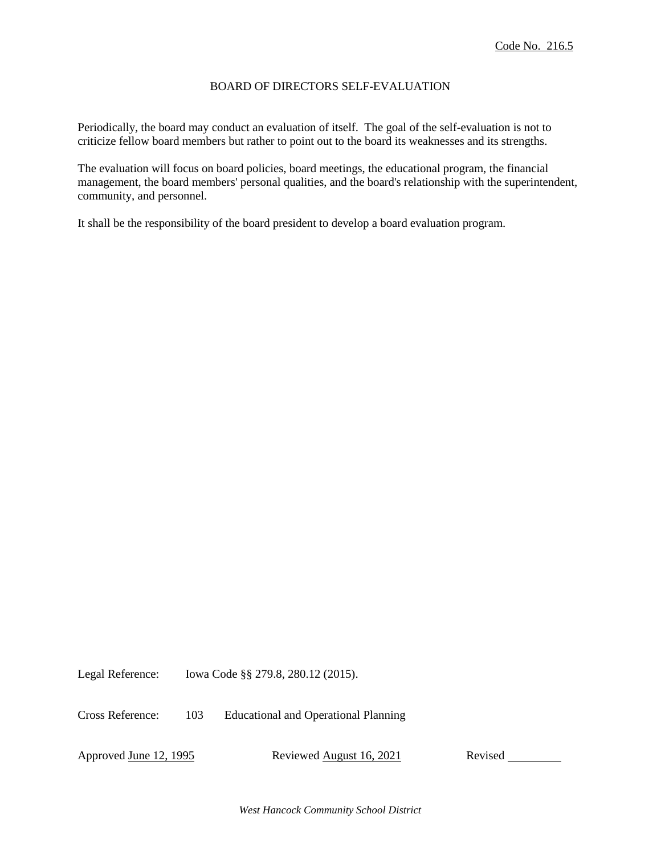## BOARD OF DIRECTORS SELF-EVALUATION

Periodically, the board may conduct an evaluation of itself. The goal of the self-evaluation is not to criticize fellow board members but rather to point out to the board its weaknesses and its strengths.

The evaluation will focus on board policies, board meetings, the educational program, the financial management, the board members' personal qualities, and the board's relationship with the superintendent, community, and personnel.

It shall be the responsibility of the board president to develop a board evaluation program.

Legal Reference: Iowa Code §§ 279.8, 280.12 (2015).

Cross Reference: 103 Educational and Operational Planning

Approved June 12, 1995 Reviewed August 16, 2021 Revised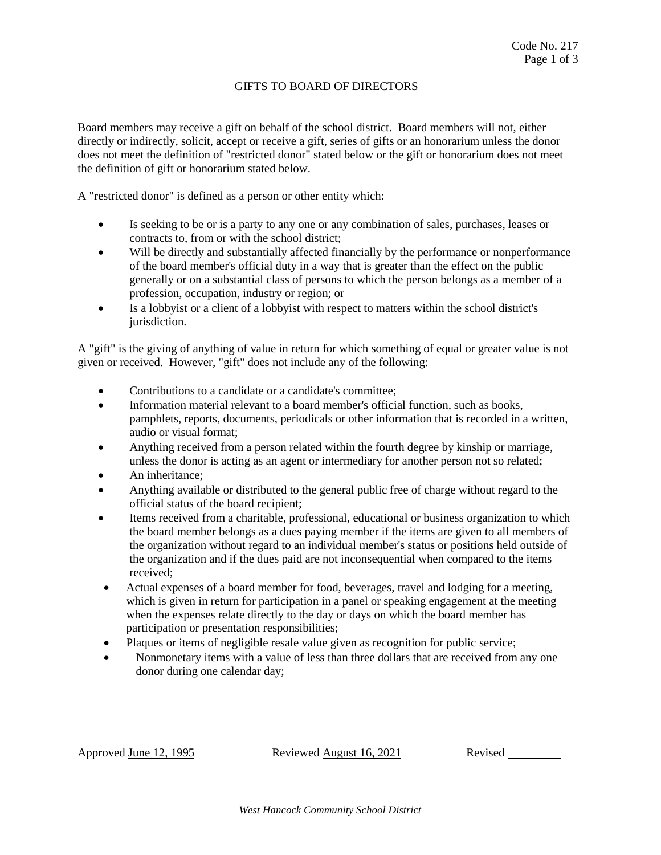# GIFTS TO BOARD OF DIRECTORS

Board members may receive a gift on behalf of the school district. Board members will not, either directly or indirectly, solicit, accept or receive a gift, series of gifts or an honorarium unless the donor does not meet the definition of "restricted donor" stated below or the gift or honorarium does not meet the definition of gift or honorarium stated below.

A "restricted donor" is defined as a person or other entity which:

- Is seeking to be or is a party to any one or any combination of sales, purchases, leases or contracts to, from or with the school district;
- Will be directly and substantially affected financially by the performance or nonperformance of the board member's official duty in a way that is greater than the effect on the public generally or on a substantial class of persons to which the person belongs as a member of a profession, occupation, industry or region; or
- Is a lobbyist or a client of a lobbyist with respect to matters within the school district's jurisdiction.

A "gift" is the giving of anything of value in return for which something of equal or greater value is not given or received. However, "gift" does not include any of the following:

- Contributions to a candidate or a candidate's committee;
- Information material relevant to a board member's official function, such as books, pamphlets, reports, documents, periodicals or other information that is recorded in a written, audio or visual format;
- Anything received from a person related within the fourth degree by kinship or marriage, unless the donor is acting as an agent or intermediary for another person not so related;
- An inheritance;
- Anything available or distributed to the general public free of charge without regard to the official status of the board recipient;
- Items received from a charitable, professional, educational or business organization to which the board member belongs as a dues paying member if the items are given to all members of the organization without regard to an individual member's status or positions held outside of the organization and if the dues paid are not inconsequential when compared to the items received;
- Actual expenses of a board member for food, beverages, travel and lodging for a meeting, which is given in return for participation in a panel or speaking engagement at the meeting when the expenses relate directly to the day or days on which the board member has participation or presentation responsibilities;
- Plaques or items of negligible resale value given as recognition for public service;
- Nonmonetary items with a value of less than three dollars that are received from any one donor during one calendar day;

Approved June 12, 1995 Reviewed August 16, 2021 Revised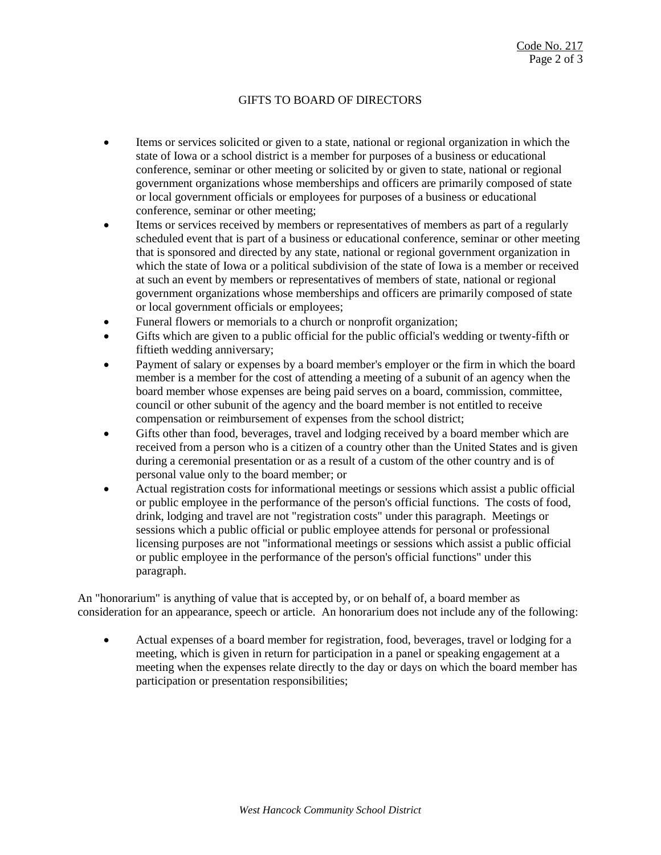# GIFTS TO BOARD OF DIRECTORS

- Items or services solicited or given to a state, national or regional organization in which the state of Iowa or a school district is a member for purposes of a business or educational conference, seminar or other meeting or solicited by or given to state, national or regional government organizations whose memberships and officers are primarily composed of state or local government officials or employees for purposes of a business or educational conference, seminar or other meeting;
- Items or services received by members or representatives of members as part of a regularly scheduled event that is part of a business or educational conference, seminar or other meeting that is sponsored and directed by any state, national or regional government organization in which the state of Iowa or a political subdivision of the state of Iowa is a member or received at such an event by members or representatives of members of state, national or regional government organizations whose memberships and officers are primarily composed of state or local government officials or employees;
- Funeral flowers or memorials to a church or nonprofit organization;
- Gifts which are given to a public official for the public official's wedding or twenty-fifth or fiftieth wedding anniversary;
- Payment of salary or expenses by a board member's employer or the firm in which the board member is a member for the cost of attending a meeting of a subunit of an agency when the board member whose expenses are being paid serves on a board, commission, committee, council or other subunit of the agency and the board member is not entitled to receive compensation or reimbursement of expenses from the school district;
- Gifts other than food, beverages, travel and lodging received by a board member which are received from a person who is a citizen of a country other than the United States and is given during a ceremonial presentation or as a result of a custom of the other country and is of personal value only to the board member; or
- Actual registration costs for informational meetings or sessions which assist a public official or public employee in the performance of the person's official functions. The costs of food, drink, lodging and travel are not "registration costs" under this paragraph. Meetings or sessions which a public official or public employee attends for personal or professional licensing purposes are not "informational meetings or sessions which assist a public official or public employee in the performance of the person's official functions" under this paragraph.

An "honorarium" is anything of value that is accepted by, or on behalf of, a board member as consideration for an appearance, speech or article. An honorarium does not include any of the following:

 Actual expenses of a board member for registration, food, beverages, travel or lodging for a meeting, which is given in return for participation in a panel or speaking engagement at a meeting when the expenses relate directly to the day or days on which the board member has participation or presentation responsibilities;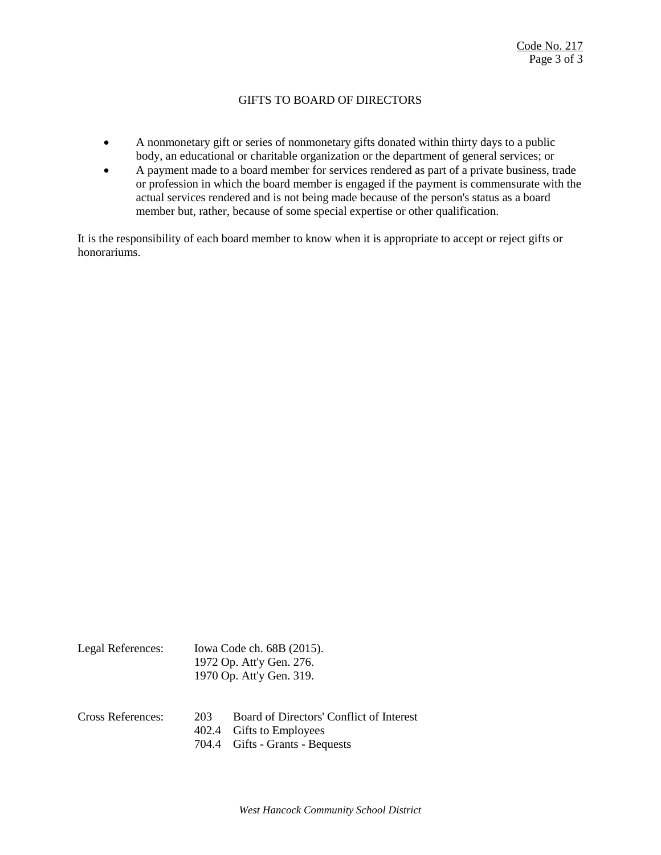# GIFTS TO BOARD OF DIRECTORS

- A nonmonetary gift or series of nonmonetary gifts donated within thirty days to a public body, an educational or charitable organization or the department of general services; or
- A payment made to a board member for services rendered as part of a private business, trade or profession in which the board member is engaged if the payment is commensurate with the actual services rendered and is not being made because of the person's status as a board member but, rather, because of some special expertise or other qualification.

It is the responsibility of each board member to know when it is appropriate to accept or reject gifts or honorariums.

|                   | 1972 Op. Att'y Gen. 276.<br>1970 Op. Att'y Gen. 319. |                                                                                                          |
|-------------------|------------------------------------------------------|----------------------------------------------------------------------------------------------------------|
| Cross References: | 203<br>402.4                                         | Board of Directors' Conflict of Interest<br><b>Gifts to Employees</b><br>704.4 Gifts - Grants - Bequests |

Legal References: Iowa Code ch. 68B (2015).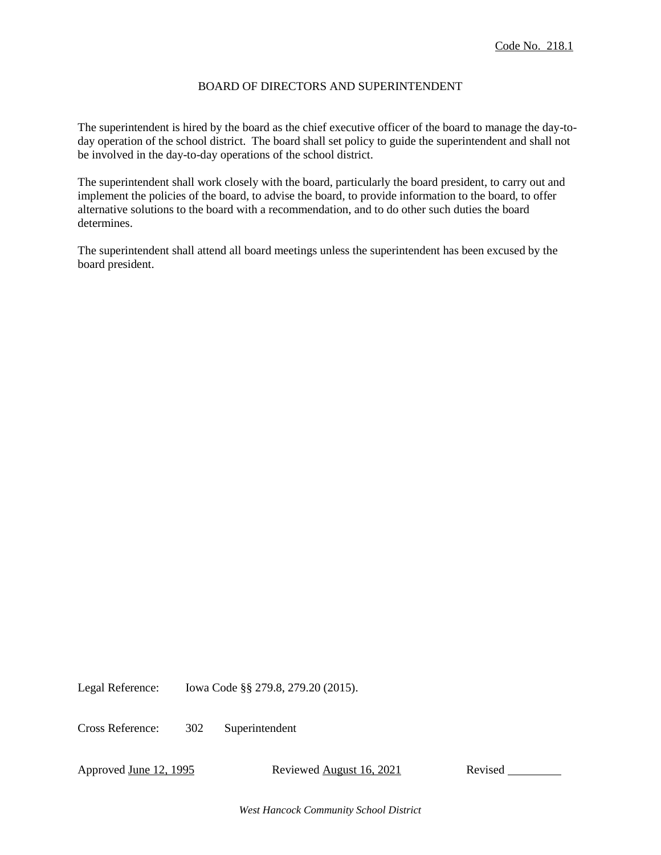## BOARD OF DIRECTORS AND SUPERINTENDENT

The superintendent is hired by the board as the chief executive officer of the board to manage the day-today operation of the school district. The board shall set policy to guide the superintendent and shall not be involved in the day-to-day operations of the school district.

The superintendent shall work closely with the board, particularly the board president, to carry out and implement the policies of the board, to advise the board, to provide information to the board, to offer alternative solutions to the board with a recommendation, and to do other such duties the board determines.

The superintendent shall attend all board meetings unless the superintendent has been excused by the board president.

Legal Reference: Iowa Code §§ 279.8, 279.20 (2015).

Cross Reference: 302 Superintendent

Approved June 12, 1995 Reviewed August 16, 2021 Revised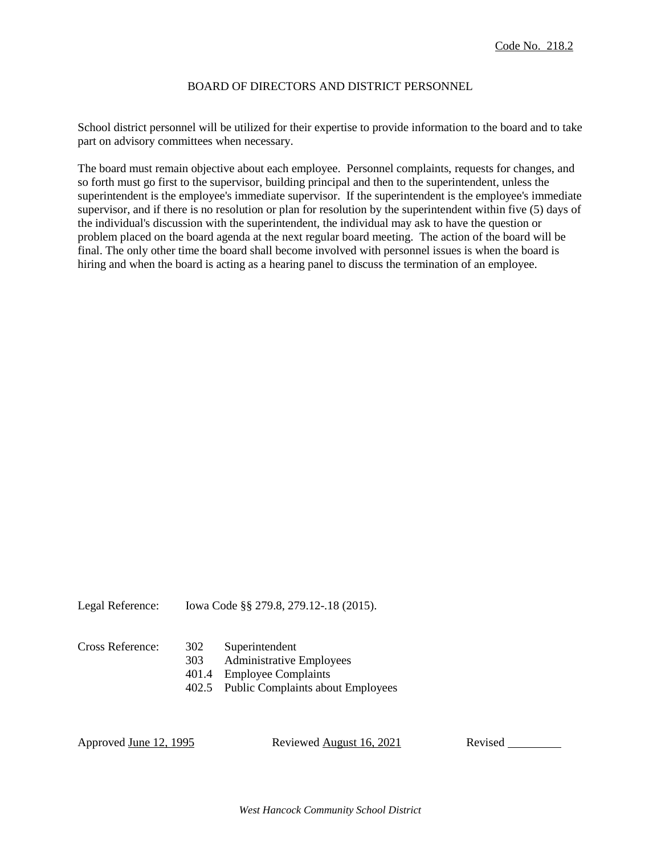## BOARD OF DIRECTORS AND DISTRICT PERSONNEL

School district personnel will be utilized for their expertise to provide information to the board and to take part on advisory committees when necessary.

The board must remain objective about each employee. Personnel complaints, requests for changes, and so forth must go first to the supervisor, building principal and then to the superintendent, unless the superintendent is the employee's immediate supervisor. If the superintendent is the employee's immediate supervisor, and if there is no resolution or plan for resolution by the superintendent within five (5) days of the individual's discussion with the superintendent, the individual may ask to have the question or problem placed on the board agenda at the next regular board meeting. The action of the board will be final. The only other time the board shall become involved with personnel issues is when the board is hiring and when the board is acting as a hearing panel to discuss the termination of an employee.

Legal Reference: Iowa Code §§ 279.8, 279.12-.18 (2015).

- Cross Reference: 302 Superintendent
	- 303 Administrative Employees
	- 401.4 Employee Complaints
	- 402.5 Public Complaints about Employees

Approved June 12, 1995 Reviewed August 16, 2021 Revised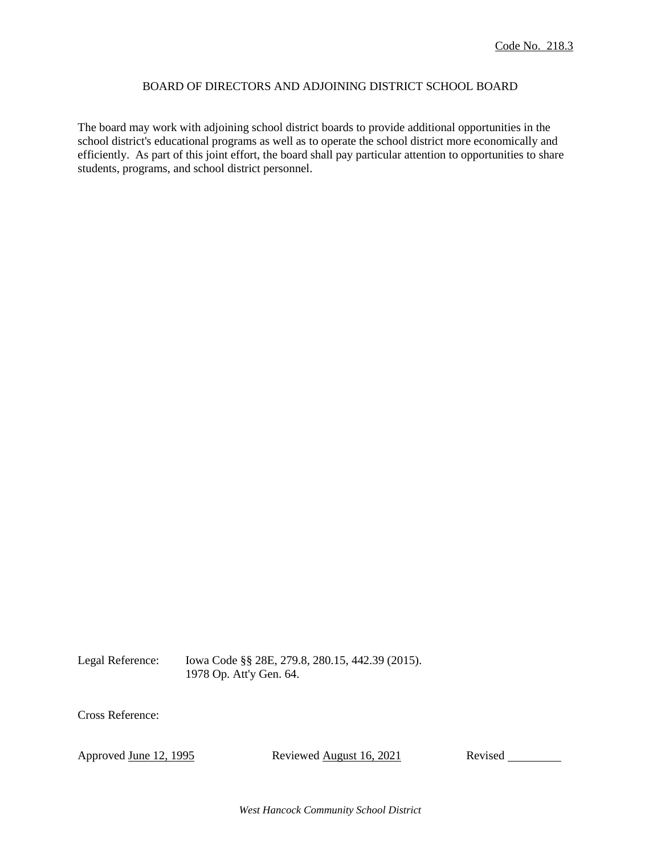## BOARD OF DIRECTORS AND ADJOINING DISTRICT SCHOOL BOARD

The board may work with adjoining school district boards to provide additional opportunities in the school district's educational programs as well as to operate the school district more economically and efficiently. As part of this joint effort, the board shall pay particular attention to opportunities to share students, programs, and school district personnel.

Legal Reference: Iowa Code §§ 28E, 279.8, 280.15, 442.39 (2015). 1978 Op. Att'y Gen. 64.

Cross Reference:

Approved June 12, 1995 Reviewed August 16, 2021 Revised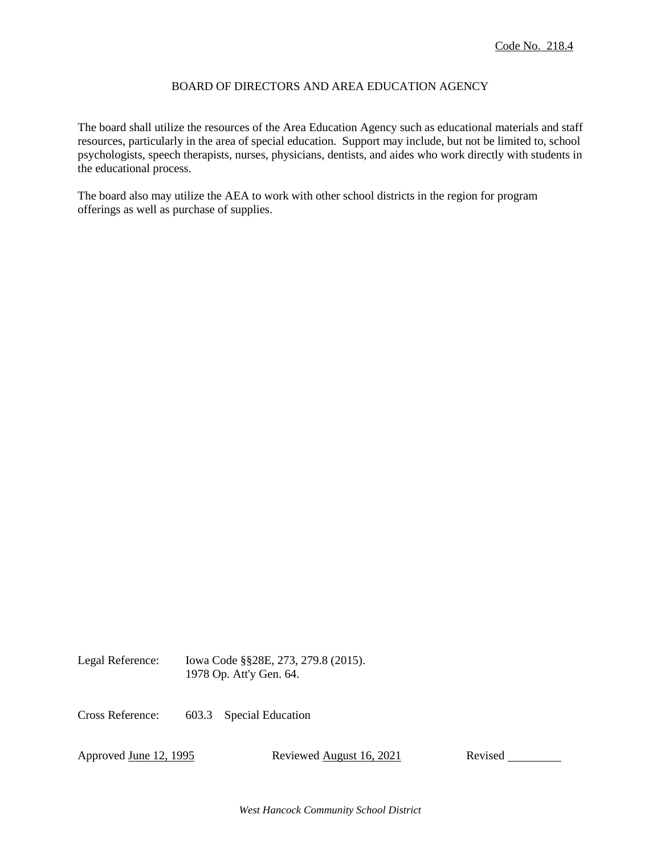# BOARD OF DIRECTORS AND AREA EDUCATION AGENCY

The board shall utilize the resources of the Area Education Agency such as educational materials and staff resources, particularly in the area of special education. Support may include, but not be limited to, school psychologists, speech therapists, nurses, physicians, dentists, and aides who work directly with students in the educational process.

The board also may utilize the AEA to work with other school districts in the region for program offerings as well as purchase of supplies.

Legal Reference: Iowa Code §§28E, 273, 279.8 (2015). 1978 Op. Att'y Gen. 64.

Cross Reference: 603.3 Special Education

Approved June 12, 1995 Reviewed August 16, 2021 Revised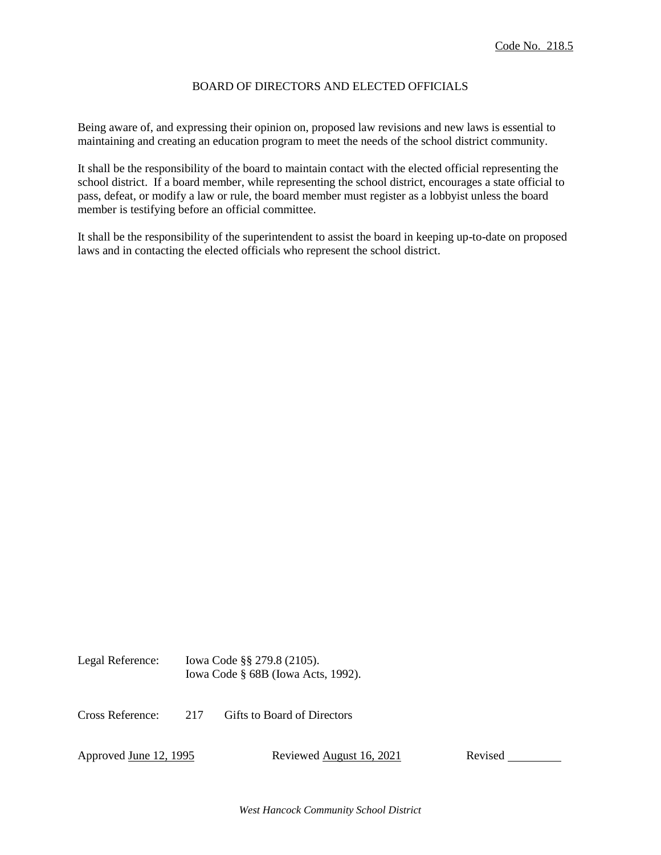# BOARD OF DIRECTORS AND ELECTED OFFICIALS

Being aware of, and expressing their opinion on, proposed law revisions and new laws is essential to maintaining and creating an education program to meet the needs of the school district community.

It shall be the responsibility of the board to maintain contact with the elected official representing the school district. If a board member, while representing the school district, encourages a state official to pass, defeat, or modify a law or rule, the board member must register as a lobbyist unless the board member is testifying before an official committee.

It shall be the responsibility of the superintendent to assist the board in keeping up-to-date on proposed laws and in contacting the elected officials who represent the school district.

| Legal Reference: | Iowa Code §§ 279.8 (2105).            |  |  |
|------------------|---------------------------------------|--|--|
|                  | Iowa Code $\S$ 68B (Iowa Acts, 1992). |  |  |

Cross Reference: 217 Gifts to Board of Directors

Approved June 12, 1995 Reviewed August 16, 2021 Revised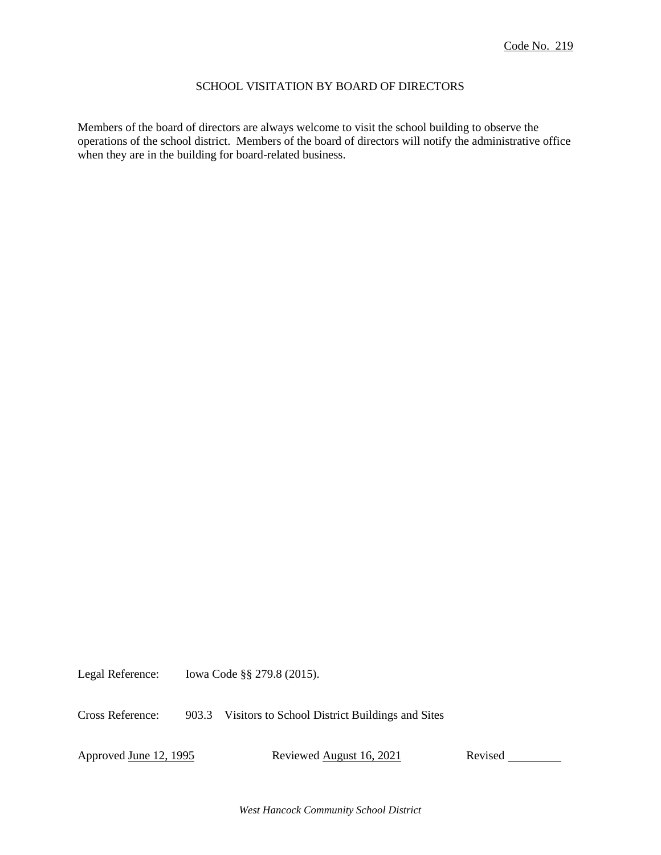## SCHOOL VISITATION BY BOARD OF DIRECTORS

Members of the board of directors are always welcome to visit the school building to observe the operations of the school district. Members of the board of directors will notify the administrative office when they are in the building for board-related business.

Legal Reference: Iowa Code §§ 279.8 (2015).

Cross Reference: 903.3 Visitors to School District Buildings and Sites

Approved June 12, 1995 Reviewed August 16, 2021 Revised